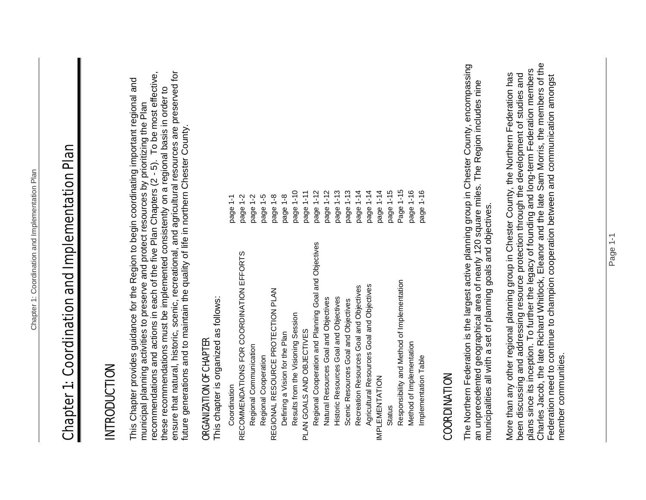# Chapter 1: Coordination and Implementation Plan **Chapter 1: Coordination and Implementation Plan**

#### INTRODUCTION INTRODUCTION

ensure that natural, historic, scenic, recreational, and agricultural resources are preserved for recommendations and actions in each of the five Plan Chapters (2 - 5). To be most effective, these recommendations must be implemented consistently on a regional basis in order to<br>ensure that natural, historic, scenic, recreational, and agricultural resources are preserved for<br>future generations and to maintain th recommendations and actions in each of the five Plan Chapters (2 - 5). To be most effective, This Chapter provides guidance for the Region to begin coordinating important regional and This Chapter provides guidance for the Region to begin coordinating important regional and these recommendations must be implemented consistently on a regional basis in order to municipal planning activities to preserve and protect resources by prioritizing the Plan municipal planning activities to preserve and protect resources by prioritizing the Plan future generations and to maintain the quality of life in northern Chester County.

### ORGANIZATION OF CHAPTER ORGANIZATION OF CHAPTER

| This chapter is organized as follows:                 |           |
|-------------------------------------------------------|-----------|
| Coordination                                          | page 1-1  |
| RECOMMENDATIONS FOR COORDINATION EFFORTS              | page 1-2  |
| Regional Communication                                | page 1-2  |
| Regional Cooperation                                  | page 1-5  |
| REGIONAL RESOURCE PROTECTION PLAN                     | page 1-8  |
| Defining a Vision for the Plan                        | page 1-8  |
| Results from the Visioning Session                    | page 1-10 |
| PLAN GOALS AND OBJECTIVES                             | page 1-11 |
| Regional Cooperation and Planning Goal and Objectives | page 1-12 |
| Natural Resources Goal and Objectives                 | page 1-12 |
| Historic Resources Goal and Objectives                | page 1-13 |
| Scenic Resources Goal and Objectives                  | page 1-13 |
| Recreation Resources Goal and Objectives              | page 1-14 |
| Agricultural Resources Goal and Objectives            | page 1-14 |
| IMPLEMENTATION                                        | page 1-14 |
| Status                                                | page 1-15 |
| Responsibility and Method of Implementation           | Page 1-15 |
| Method of Implementation                              | page 1-16 |
| Implementation Table                                  | page 1-16 |

#### COORDINATION **COORDINATION**

The Northern Federation is the largest active planning group in Chester County, encompassing The Northern Federation is the largest active planning group in Chester County, encompassing<br>an unprecedented geographical area of nearly 120 square miles. The Region includes nine an unprecedented geographical area of nearly 120 square miles. The Region includes nine municipalities all with a set of planning goals and objectives. municipalities all with a set of planning goals and objectives.

Charles Jacob, the late Richard Whitlock, Eleanor and the late Sam Morris, the members of the Charles Jacob, the late Richard Whitlock, Eleanor and the late Sam Morris, the members of the been discussing and addressing resource protection through the development of studies and<br>plans since its inception. To further the legacy of founding and long-term Federation members plans since its inception. To further the legacy of founding and long-term Federation members More than any other regional planning group in Chester County, the Northern Federation has been discussing and addressing resource protection through the development of studies and More than any other regional planning group in Chester County, the Northern Federation has Federation need to continue to champion cooperation between and communication amongst Federation need to continue to champion cooperation between and communication amongst member communities. member communities.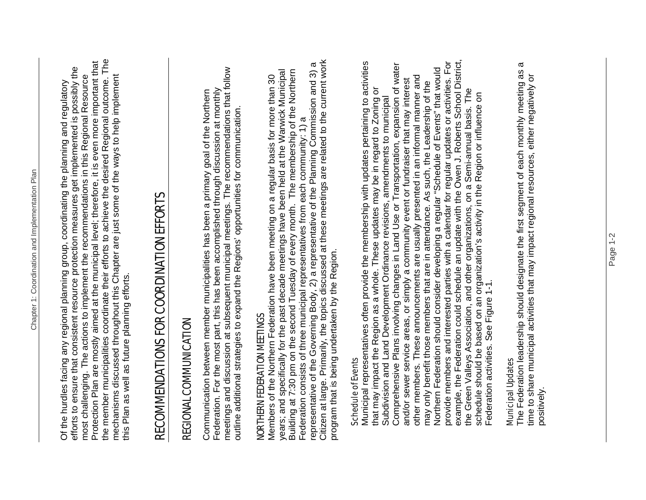the member municipalities coordinate their efforts to achieve the desired Regional outcome. The the member municipalities coordinate their efforts to achieve the desired Regional outcome. The Protection Plan are mostly aimed at the municipal level; therefore, it is even more important that Protection Plan are mostly aimed at the municipal level; therefore, it is even more important that efforts to ensure that consistent resource protection measures get implemented is possibly the efforts to ensure that consistent resource protection measures get implemented is possibly the mechanisms discussed throughout this Chapter are just some of the ways to help implement most challenging. The actions to implement the recommendations in this Regional Resource most challenging. The actions to implement the recommendations in this Regional Resource mechanisms discussed throughout this Chapter are just some of the ways to help implement Of the hurdles facing any regional planning group, coordinating the planning and regulatory Of the hurdles facing any regional planning group, coordinating the planning and regulatory this Plan as well as future planning efforts. this Plan as well as future planning efforts.

# RECOMMENDATIONS FOR COORDINATION EFFORTS RECOMMENDATIONS FOR COORDINATION EFFORTS

## REGIONAL COMMUNICATION REGIONAL COMMUNICATION

meetings and discussion at subsequent municipal meetings. The recommendations that follow meetings and discussion at subsequent municipal meetings. The recommendations that follow<br>outline additional strategies to expand the Regions' opportunities for communication. Federation. For the most part, this has been accomplished through discussion at monthly Communication between member municipalities has been a primary goal of the Northern Federation. For the most part, this has been accomplished through discussion at monthly Communication between member municipalities has been a primary goal of the Northern outline additional strategies to expand the Regions' opportunities for communication.

## NORTHERN FEDERATION MEETINGS NORTHERN FEDERATION MEETINGS

Citizen at large. Primarily, the topics discussed at these meetings are related to the current work representative of the Governing Body, 2) a representative of the Planning Commission and 3) a<br>Citizen at large. Primarily, the topics discussed at these meetings are related to the current work representative of the Governing Body, 2) a representative of the Planning Commission and 3) a years; and specifically for the past decade meetings have been held at the Warwick Municipal Building at 7:30 pm on the second Tuesday of every month. The membership of the Northern years; and specifically for the past decade meetings have been held at the Warwick Municipal Building at 7:30 pm on the second Tuesday of every month. The membership of the Northern<br>Federation consists of three municipal representatives from each community: 1) a Members of the Northern Federation have been meeting on a regular basis for more than 30 Members of the Northern Federation have been meeting on a regular basis for more than 30 Federation consists of three municipal representatives from each community: 1) a program that is being undertaken by the Region. program that is being undertaken by the Region.

#### Schedule of Events Schedule of Events

example, the Federation could schedule an update with the Owen J. Roberts School District, Municipal representatives often provide the membership with updates pertaining to activities provide members and interested parties with a calendar for regular updates or activities. For example, the Federation could schedule an update with the Owen J. Roberts School District, Municipal representatives often provide the membership with updates pertaining to activities Comprehensive Plans involving changes in Land Use or Transportation, expansion of water provide members and interested parties with a calendar for regular updates or activities. For Subdivision and Land Development Ordinance revisions, amendments to municipal<br>Comprehensive Plans involving changes in Land Use or Transportation, expansion of water Northern Federation should consider developing a regular "Schedule of Events" that would Northern Federation should consider developing a regular "Schedule of Events" that would other members. These announcements are usually presented in an informal manner and other members. These announcements are usually presented in an informal manner and<br>may only benefit those members that are in attendance. As such, the Leadership of the and/or sewer service areas, or simply a community event or fundraiser that may interest and/or sewer service areas, or simply a community event or fundraiser that may interest may only benefit those members that are in attendance. As such, the Leadership of the that may impact the Region as a whole. These updates may be in regard to Zoning or that may impact the Region as a whole. These updates may be in regard to Zoning or the Green Valleys Association, and other organizations, on a Semi-annual basis. The the Green Valleys Association, and other organizations, on a Semi-annual basis. The<br>schedule should be based on an organization's activity in the Region or influence on schedule should be based on an organization's activity in the Region or influence on Subdivision and Land Development Ordinance revisions, amendments to municipal Federation activities. See Figure 1-1. Federation activities. See Figure 1-1.

#### **Municipal Updates** Municipal Updates

The Federation leadership should designate the first segment of each monthly meeting as a  $\boldsymbol{\varpi}$ The Federation leadership should designate the first segment of each monthly meeting as inne to share municipal activities that may impact regional resources, either negatively or time to share municipal activities that may impact regional resources, either negatively or positively.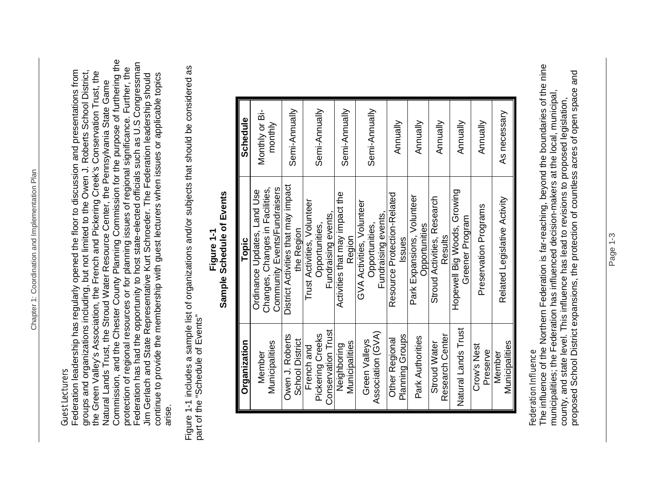#### Guest Lecturers Guest Lecturers

Commission, and the Chester County Planning Commission for the purpose of furthering the Commission, and the Chester County Planning Commission for the purpose of furthering the Federation has had the opportunity to host state-elected officials such as U.S Congressman Federation has had the opportunity to host state-elected officials such as U.S Congressman protection of regional resources or for planning issues of regional significance. Further, the protection of regional resources or for planning issues of regional significance. Further, the Federation leadership has regularly opened the floor to discussion and presentations from groups and organizations including, but not limited to the Owen J. Roberts School District, groups and organizations including, but not limited to the Owen J. Roberts School District,<br>the Green Valley's Association, the French and Pickering Creek's Conservation Trust, the the Green Valley's Association, the French and Pickering Creek's Conservation Trust, the Federation leadership has regularly opened the floor to discussion and presentations from continue to provide the membership with guest lecturers when issues or applicable topics Jim Gerlach and State Representative Kurt Schroeder. The Federation leadership should Jim Gerlach and State Representative Kurt Schroeder. The Federation leadership should continue to provide the membership with guest lecturers when issues or applicable topics<br>arise. Natural Lands Trust, the Stroud Water Resource Center, the Pennsylvania State Game Natural Lands Trust, the Stroud Water Resource Center, the Pennsylvania State Game

Figure 1-1 includes a sample list of organizations and/or subjects that should be considered as Figure 1-1 includes a sample list of organizations and/or subjects that should be considered as part of the "Schedule of Events" part of the "Schedule of Events"

| Community Events/Fundraisers<br>Changes, Changes in Facilities,<br>Ordinance Updates, Land Use<br>Topic |
|---------------------------------------------------------------------------------------------------------|
| District Activities that may impact<br>the Region                                                       |
| Trust Activities, Volunteer<br>Fundraising events<br>Opportunities,                                     |
| Activities that may impact the<br>Region                                                                |
| GVA Activities, Volunteer<br>Fundraising events<br>Opportunities,                                       |
| Resource Protection-Related<br>Issues                                                                   |
| Park Expansions, Volunteer<br>Opportunities                                                             |
| Stroud Activities, Research<br>Results                                                                  |
| Hopewell Big Woods, Growing<br>Greener Program                                                          |
| Preservation Programs                                                                                   |
| Related Legislative Activity                                                                            |

#### **Sample Schedule of Events**  Sample Schedule of Events **Figure 1-1**  Figure 1-1

#### **Federation Influence** Federation Influence

The influence of the Northern Federation is far-reaching, beyond the boundaries of the nine The influence of the Northern Federation is far-reaching, beyond the boundaries of the nine proposed School District expansions, the protection of countless acres of open space and proposed School District expansions, the protection of countless acres of open space and municipalities; the Federation has influenced decision-makers at the local, municipal, municipalities; the Federation has influenced decision-makers at the local, municipal, county, and state level. This influence has lead to revisions to proposed legislation, county, and state level. This influence has lead to revisions to proposed legislation,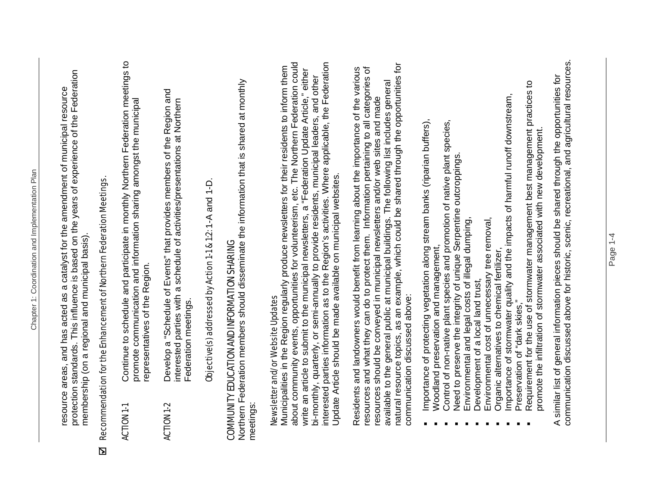protection standards. This influence is based on the years of experience of the Federation resource areas, and has acted as a catalyst for the amendment of municipal resource<br>protection standards. This influence is based on the years of experience of the Federation resource areas, and has acted as a catalyst for the amendment of municipal resource membership (on a regional and municipal basis). membership (on a regional and municipal basis).

## Recommendation for the Enhancement of Northern Federation Meetings. ; Recommendation for the Enhancement of Northern Federation Meetings.  $\overline{\mathbf{z}}$

- ACTION 1-1 Continue to schedule and participate in monthly Northern Federation meetings to Continue to schedule and participate in monthly Northern Federation meetings to promote communication and information sharing amongst the municipal promote communication and information sharing amongst the municipal representatives of the Region. representatives of the Region. **ACTION 1-1**
- ACTION 1-2 Develop a "Schedule of Events" that provides members of the Region and Develop a "Schedule of Events" that provides members of the Region and<br>interested parties with a schedule of activities/presentations at Northern interested parties with a schedule of activities/presentations at Northern Federation meetings. Federation meetings. **ACTION 1-2**

Objective(s) addressed by Action 1-1 & 1:2: 1-A and 1-D. Objective(s) addressed by Action 1-1 & 1:2: 1-A and 1-D.

## COMMUNITY EDUCATION AND INFORMATION SHARING COMMUNITY EDUCATION AND INFORMATION SHARING

Northern Federation members should disseminate the information that is shared at monthly Northern Federation members should disseminate the information that is shared at monthly meetings:

## Newsletter and/or Website Updates Newsletter and/or Website Updates

about community events, opportunities for volunteerism, etc. The Northern Federation could interested parties information as to the Region's activities. Where applicable, the Federation about community events, opportunities for volunteerism, etc. The Northern Federation could<br>write an article to submit to the municipal newsletters, a "Federation Update Article," either interested parties information as to the Region's activities. Where applicable, the Federation Municipalities in the Region regularly produce newsletters for their residents to inform them Municipalities in the Region regularly produce newsletters for their residents to inform them write an article to submit to the municipal newsletters, a "Federation Update Article," either bi-monthly, quarterly, or semi-annually to provide residents, municipal leaders, and other bi-monthly, quarterly, or semi-annually to provide residents, municipal leaders, and other Update Article should be made available on municipal websites. Update Article should be made available on municipal websites.

natural resource topics, as an example, which could be shared through the opportunities for natural resource topics, as an example, which could be shared through the opportunities for Residents and landowners would benefit from learning about the importance of the various resources and what they can do to protect them. Information pertaining to all categories of resources and what they can do to protect them. Information pertaining to all categories of Residents and landowners would benefit from learning about the importance of the various available to the general public at municipal buildings. The following list includes general available to the general public at municipal buildings. The following list includes general resources should be conveyed in municipal newsletters and/or web sites and made resources should be conveyed in municipal newsletters and/or web sites and made communication discussed above: communication discussed above:

- Importance of protecting vegetation along stream banks (riparian buffers), Importance of protecting vegetation along stream banks (riparian buffers),
	- Woodland preservation and management, Woodland preservation and management,
- Control of non-native plant species and promotion of native plant species, Control of non-native plant species and promotion of native plant species,<br>Need to preserve the integrity of unique Serpentine outcroppings.
	- Need to preserve the integrity of unique Serpentine outcroppings.
		- Environmental and legal costs of illegal dumping, Environmental and legal costs of illegal dumping,
			- **Development of a local land trust,** Development of a local land trust,
- Environmental cost of unnecessary tree removal, Environmental cost of unnecessary tree removal,
	- Organic alternatives to chemical fertilizer, Organic alternatives to chemical fertilizer,
- Importance of stormwater quality and the impacts of harmful runoff downstream, Importance of stormwater quality and the impacts of harmful runoff downstream,
	- Preservation of "dark skies," Preservation of "dark skies,"
- Requirement for the use of stormwater management best management practices to Requirement for the use of stormwater management best management practices to promote the infiltration of stormwater associated with new development. promote the infiltration of stormwater associated with new development.

communication discussed above for historic, scenic, recreational, and agricultural resources. communication discussed above for historic, scenic, recreational, and agricultural resources. A similar list of general information pieces should be shared through the opportunities for similar list of general information pieces should be shared through the opportunities for  $\overline{\mathbf{A}}$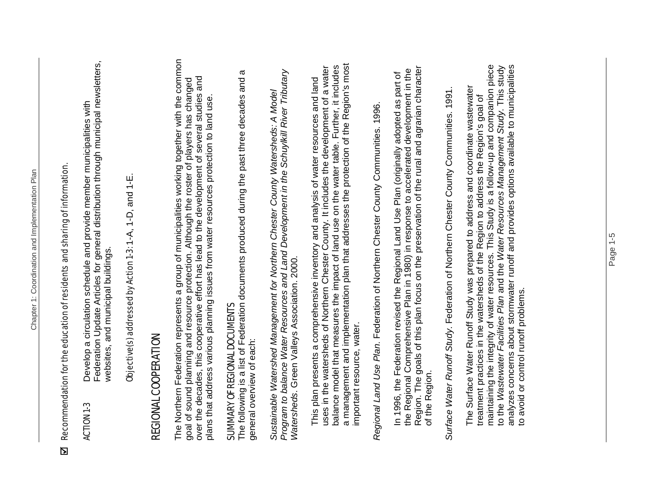## $EI$  Recommendation for the education of residents and sharing of information. Recommendation for the education of residents and sharing of information.  $\overline{\mathbf{z}}$

Federation Update Articles for general distribution through municipal newsletters, Federation Update Articles for general distribution through municipal newsletters, ACTION 1-3 Develop a circulation schedule and provide member municipalities with Develop a circulation schedule and provide member municipalities with websites, and municipal buildings. websites, and municipal buildings. **ACTION 1-3** 

Objective(s) addressed by Action 1-3: 1-A, 1-D, and 1-E. Objective(s) addressed by Action 1-3: 1-A, 1-D, and 1-E.

### REGIONAL COOPERATION REGIONAL COOPERATION

The Northern Federation represents a group of municipalities working together with the common The Northern Federation represents a group of municipalities working together with the common over the decades, this cooperative effort has lead to the development of several studies and goal of sound planning and resource protection. Although the roster of players has changed<br>over the decades, this cooperative effort has lead to the development of several studies and goal of sound planning and resource protection. Although the roster of players has changed plans that address various planning issues from water resources protection to land use. plans that address various planning issues from water resources protection to land use

## SUMMARY OF REGIONAL DOCUMENTS SUMMARY OF REGIONAL DOCUMENTS

The following is a list of Federation documents produced during the past three decades and a The following is a list of Federation documents produced during the past three decades and a general overview of each: general overview of each:

*Program to balance Water Resources and Land Development in the Schuylkill River Tributary*  Program to balance Water Resources and Land Development in the Schuylkill River Tributary *Sustainable Watershed Management for Northern Chester County Watersheds: A Model*  Sustainable Watershed Management for Northern Chester County Watersheds: A Model *Watersheds*. Green Valleys Association. 2000. Watersheds. Green Valleys Association. 2000.

a management and implementation plan that addresses the protection of the Region's most a management and implementation plan that addresses the protection of the Region's most uses in the watersheds of Northern Chester County. It includes the development of a water balance model that measures the impact of land use on the water table. Further, it includes balance model that measures the impact of land use on the water table. Further, it includes uses in the watersheds of Northern Chester County. It includes the development of a water This plan presents a comprehensive inventory and analysis of water resources and land This plan presents a comprehensive inventory and analysis of water resources and land important resource, water. important resource, water.

*Regional Land Use Plan*. Federation of Northern Chester County Communities. 1996. Regional Land Use Plan. Federation of Northern Chester County Communities. 1996.

Region. The goals of this plan focus on the preservation of the rural and agrarian character Region. The goals of this plan focus on the preservation of the rural and agrarian character the Regional Comprehensive Plan in 1980) in response to accelerated development in the the Regional Comprehensive Plan in 1980) in response to accelerated development in the In 1996, the Federation revised the Regional Land Use Plan (originally adopted as part of In 1996, the Federation revised the Regional Land Use Plan (originally adopted as part of of the Region. of the Region.

*Surface Water Runoff Study*. Federation of Northern Chester County Communities. 1991. Surface Water Runoff Study. Federation of Northern Chester County Communities. 1991.

maintaining the integrity of water resources. This Study is a follow-up and companion piece analyzes concerns about stormwater runoff and provides options available to municipalities maintaining the integrity of water resources. This Study is a follow-up and companion piece to the *Wastewater Facilities Plan* and the *Water Resources Management Study*. This study analyzes concerns about stormwater runoff and provides options available to municipalities to the Wastewater Facilities Plan and the Water Resources Management Study. This study The Surface Water Runoff Study was prepared to address and coordinate wastewater The Surface Water Runoff Study was prepared to address and coordinate wastewater treatment practices in the watersheds of the Region to address the Region's goal of treatment practices in the watersheds of the Region to address the Region's goal of to avoid or control runoff problems. to avoid or control runoff problems.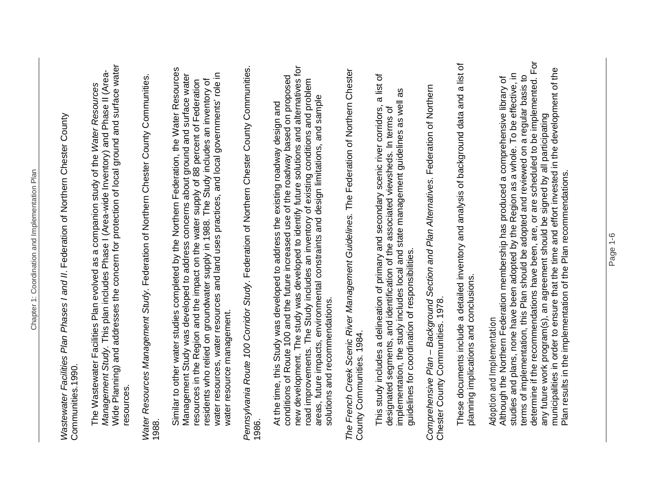*Wastewater Facilities Plan Phases I and II*. Federation of Northern Chester County Wastewater Facilities Plan Phases I and II. Federation of Northern Chester County Communities.1990. Communities.1990.

Wide Planning) and addresses the concern for protection of local ground and surface water Wide Planning) and addresses the concern for protection of local ground and surface water Management Study. This plan includes Phase I (Area-wide Inventory) and Phase II (Area-*Management Study*. This plan includes Phase I (Area-wide Inventory) and Phase II (Area-The Wastewater Facilities Plan evolved as a companion study of the *Water Resources*  The Wastewater Facilities Plan evolved as a companion study of the Water Resources resources.

*Water Resources Management Study*. Federation of Northern Chester County Communities. Water Resources Management Study. Federation of Northern Chester County Communities. 1988.

Similar to other water studies completed by the Northern Federation, the Water Resources Similar to other water studies completed by the Northern Federation, the Water Resources water resources, water resources and land uses practices, and local governments' role in Management Study was developed to address concerns about ground and surface water water resources, water resources and land uses practices, and local governments' role in Management Study was developed to address concerns about ground and surface water residents who relied on groundwater supply in 1988. The Study includes an inventory of resources in the Region and the impact on the water supply of 88 percent of Federation<br>residents who relied on groundwater supply in 1988. The Study includes an inventory of resources in the Region and the impact on the water supply of 88 percent of Federation water resource management. water resource management.

*Pennsylvania Route 100 Corridor Study*. Federation of Northern Chester County Communities. Pennsylvania Route 100 Corridor Study. Federation of Northern Chester County Communities. 1986.

new development. The study was developed to identify future solutions and alternatives for conditions of Route 100 and the future increased use of the roadway based on proposed<br>new development. The study was developed to identify future solutions and alternatives for conditions of Route 100 and the future increased use of the roadway based on proposed road improvements. The Study includes an inventory of existing conditions and problem road improvements. The Study includes an inventory of existing conditions and problem areas, future impacts, environmental constraints and design limitations, and sample areas, future impacts, environmental constraints and design limitations, and sample At the time, this Study was developed to address the existing roadway design and At the time, this Study was developed to address the existing roadway design and solutions and recommendations. solutions and recommendations.

*The French Creek Scenic River Management Guidelines.* The Federation of Northern Chester The French Creek Scenic River Management Guidelines. The Federation of Northern Chester County Communities. 1984. County Communities. 1984.

This study includes a delineation of primary and secondary scenic river corridors, a list of This study includes a delineation of primary and secondary scenic river corridors, a list of implementation, the study includes local and state management guidelines as well as as implementation, the study includes local and state management guidelines as well designated segments, and identification of the associated viewsheds. In terms of designated segments, and identification of the associated viewsheds. In terms of guidelines for coordination of responsibilities. guidelines for coordination of responsibilities.

*Comprehensive Plan – Background Section and Plan Alternatives*. Federation of Northern Comprehensive Plan - Background Section and Plan Alternatives. Federation of Northern Chester County Communities. 1978. Chester County Communities. 1978.

These documents include a detailed inventory and analysis of background data and a list of These documents include a detailed inventory and analysis of background data and a list of planning implications and conclusions. planning implications and conclusions.

### Adoption and Implementation Adoption and Implementation

determine if the recommendations have been, are, or are scheduled to be implemented. For determine if the recommendations have been, are, or are scheduled to be implemented. For municipalities in order to ensure that the time and effort invested in the development of the municipalities in order to ensure that the time and effort invested in the development of the<br>Plan results in the implementation of the Plan recommendations. studies and plans, none have been adopted by the Region as a whole. To be effective, in studies and plans, none have been adopted by the Region as a whole. To be effective, in terms of implementation, this Plan should be adopted and reviewed on a regular basis to Although the Northern Federation membership has produced a comprehensive library of terms of implementation, this Plan should be adopted and reviewed on a regular basis to Although the Northern Federation membership has produced a comprehensive library of any future work program(s), an agreement should be signed by all participating any future work program(s), an agreement should be signed by all participating Plan results in the implementation of the Plan recommendations.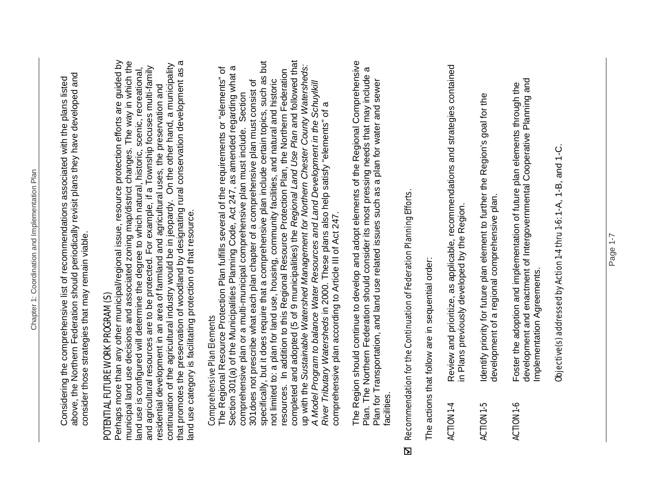above, the Northern Federation should periodically revisit plans they have developed and above, the Northern Federation should periodically revisit plans they have developed and Considering the comprehensive list of recommendations associated with the plans listed Considering the comprehensive list of recommendations associated with the plans listed consider those strategies that may remain viable. consider those strategies that may remain viable.

## POTENTIAL FUTURE WORK PROGRAM (S) POTENTIAL FUTURE WORK PROGRAM (S)

Perhaps more than any other municipal/regional issue, resource protection efforts are guided by that promotes the preservation of woodland by designating rural conservation development as a municipal land use decisions and associated zoning map/district changes. The way in which the that promotes the preservation of woodland by designating rural conservation development as a Perhaps more than any other municipal/regional issue, resource protection efforts are guided by municipal land use decisions and associated zoning map/district changes. The way in which the continuation of the agricultural industry would be in jeopardy. On the other hand, a municipality continuation of the agricultural industry would be in jeopardy. On the other hand, a municipality and agricultural resources are to be protected. For example, if a Township focuses multi-family land use is configured will determine the degree to which natural, historic, scenic, recreational, and agricultural resources are to be protected. For example, if a Township focuses multi-family<br>residential development in an area of farmland and agricultural uses, the preservation and land use is configured will determine the degree to which natural, historic, scenic, recreational, residential development in an area of farmland and agricultural uses, the preservation and land use category is facilitating protection of that resource. land use category is facilitating protection of that resource.

### **Comprehensive Plan Elements** Comprehensive Plan Elements

specifically, but it does require that a comprehensive plan include certain topics, such as but completed and adopted (5 of 9 municipalities) the *Regional Land Use Plan* and followed that specifically, but it does require that a comprehensive plan include certain topics, such as but resources. In addition to this Regional Resource Protection Plan, the Northern Federation<br>completed and adopted (5 of 9 municipalities) the Regional Land Use Plan and followed that up with the Sustainable Watershed Management for Northern Chester County Watersheds: up with the *Sustainable Watershed Management for Northern Chester County Watersheds:*  Section 301(a) of the Municipalities Planning Code, Act 247, as amended regarding what a The Regional Resource Protection Plan fulfills several of the requirements or "elements" of The Regional Resource Protection Plan fulfills several of the requirements or "elements" of Section 301(a) of the Municipalities Planning Code, Act 247, as amended regarding what a resources. In addition to this Regional Resource Protection Plan, the Northern Federation 301does not prescribe what each plan chapter of a comprehensive plan must consist of not limited to: a plan for land use, housing, community facilities, and natural and historic 301 does not prescribe what each plan chapter of a comprehensive plan must consist of not limited to: a plan for land use, housing, community facilities, and natural and historic A Model Program to balance Water Resources and Land Development in the Schuylkill *A Model Program to balance Water Resources and Land Development in the Schuylkill*  comprehensive plan or a multi-municipal comprehensive plan must include. Section comprehensive plan or a multi-municipal comprehensive plan must include. Section *River Tributary Watersheds* in 2000. These plans also help satisfy "elements" of a River Tributary Watersheds in 2000. These plans also help satisfy "elements" of a comprehensive plan according to Article III of Act 247. comprehensive plan according to Article III of Act 247.

The Region should continue to develop and adopt elements of the Regional Comprehensive The Region should continue to develop and adopt elements of the Regional Comprehensive Plan. The Northern Federation should consider its most pressing needs that may include a Plan. The Northern Federation should consider its most pressing needs that may include a Plan for Transportation, and land use related issues such as a plan for water and sewer Plan for Transportation, and land use related issues such as a plan for water and sewer facilities.

## Recommendation for the Continuation of Federation Planning Efforts.  $EI$  Recommendation for the Continuation of Federation Planning Efforts.  $\overline{\mathbf{z}}$

The actions that follow are in sequential order: The actions that follow are in sequential order:

- ACTION 1-4 Review and prioritize, as applicable, recommendations and strategies contained Review and prioritize, as applicable, recommendations and strategies contained<br>in Plans previously developed by the Region. in Plans previously developed by the Region. **ACTION 1-4**
- ACTION 1-5 Identify priority for future plan element to further the Region's goal for the Identify priority for future plan element to further the Region's goal for the development of a regional comprehensive plan. development of a regional comprehensive plan. **ACTION 1-5**
- development and enactment of Intergovernmental Cooperative Planning and Foster the adoption and implementation of future plan elements through the<br>development and enactment of Intergovernmental Cooperative Planning and ACTION 1-6 Foster the adoption and implementation of future plan elements through the Implementation Agreements. Implementation Agreements. **ACTION 1-6**

Objective(s) addressed by Action 1-4 thru 1-6: 1-A, 1-B, and 1-C. Objective(s) addressed by Action 1-4 thru 1-6: 1-A, 1-B, and 1-C.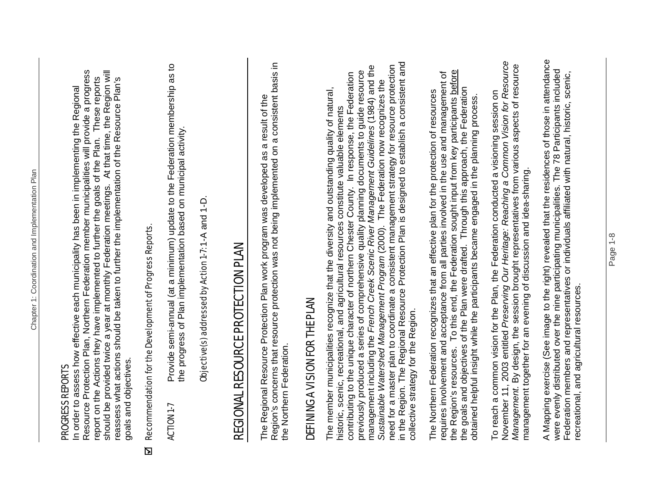#### PROGRESS REPORTS PROGRESS REPORTS

Resource Protection Plan, Northern Federation member municipalities will provide a progress should be provided twice a year at monthly Federation meetings. At that time, the Region will Resource Protection Plan, Northern Federation member municipalities will provide a progress should be provided twice a year at monthly Federation meetings. At that time, the Region will report on the Actions they have implemented to further the goals of the Plan. These reports report on the Actions they have implemented to further the goals of the Plan. These reports reassess what actions should be taken to further the implementation of the Resource Plan's reassess what actions should be taken to further the implementation of the Resource Plan's In order to assess how effective each municipality has been in implementing the Regional In order to assess how effective each municipality has been in implementing the Regional goals and objectives. goals and objectives.

## Recommendation for the Development of Progress Reports.  $EI$  Recommendation for the Development of Progress Reports.  $\overline{\mathbf{z}}$

ACTION 1-7 Provide semi-annual (at a minimum) update to the Federation membership as to Provide semi-annual (at a minimum) update to the Federation membership as to<br>the progress of Plan implementation based on municipal activity. the progress of Plan implementation based on municipal activity. **ACTION 1-7** 

Objective(s) addressed by Action 1-7: 1-A and 1-D. Objective(s) addressed by Action 1-7: 1-A and 1-D.

## REGIONAL RESOURCE PROTECTION PLAN REGIONAL RESOURCE PROTECTION PLAN

Region's concerns that resource protection was not being implemented on a consistent basis in Region's concerns that resource protection was not being implemented on a consistent basis in The Regional Resource Protection Plan work program was developed as a result of the The Regional Resource Protection Plan work program was developed as a result of the the Northern Federation. the Northern Federation.

## DEFINING A VISION FOR THE PLAN DEFINING A VISION FOR THE PLAN

in the Region. The Regional Resource Protection Plan is designed to establish a consistent and need for a master plan to coordinate a consistent management strategy for resource protection<br>in the Region. The Regional Resource Protection Plan is designed to establish a consistent and management including the *French Creek Scenic River Management Guidelines* (1984) and the need for a master plan to coordinate a consistent management strategy for resource protection previously produced a series of comprehensive quality planning documents to guide resource<br>management including the French Creek Scenic River Management Guidelines (1984) and the previously produced a series of comprehensive quality planning documents to guide resource contributing to the unique character of northern Chester County. In response, the Federation contributing to the unique character of northern Chester County. In response, the Federation Sustainable Watershed Management Program (2000). The Federation now recognizes the *Sustainable Watershed Management Program* (2000). The Federation now recognizes the The member municipalities recognize that the diversity and outstanding quality of natural, The member municipalities recognize that the diversity and outstanding quality of natural, historic, scenic, recreational, and agricultural resources constitute valuable elements historic, scenic, recreational, and agricultural resources constitute valuable elements collective strategy for the Region. collective strategy for the Region.

the Region's resources. To this end, the Federation sought input from key participants before requires involvement and acceptance from all parties involved in the use and management of the Region's resources. To this end, the Federation sought input from key participants before requires involvement and acceptance from all parties involved in the use and management of the goals and objectives of the Plan were drafted. Through this approach, the Federation the goals and objectives of the Plan were drafted. Through this approach, the Federation The Northern Federation recognizes that an effective plan for the protection of resources obtained helpful insight while the participants became engaged in the planning process. obtained helpful insight while the participants became engaged in the planning process.

November 11, 2003 entitled *Preserving Our Heritage: Reaching a Common Vision for Resource*  November 11, 2003 entitled Preserving Our Heritage: Reaching a Common Vision for Resource<br>Management. By design, the session brought representatives from various aspects of resource *Management.* By design, the session brought representatives from various aspects of resource To reach a common vision for the Plan, the Federation conducted a visioning session on To reach a common vision for the Plan, the Federation conducted a visioning session on management together for an evening of discussion and idea-sharing. management together for an evening of discussion and idea-sharing.

A Mapping exercise (See image to the right) revealed that the residences of those in attendance A Mapping exercise (See image to the right) revealed that the residences of those in attendance were evenly distributed over the nine participating municipalities. The 78 Participants included were evenly distributed over the nine participating municipalities. The 78 Participants included Federation members and representatives or individuals affiliated with natural, historic, scenic, Federation members and representatives or individuals affiliated with natural, historic, scenic, recreational, and agricultural resources. recreational, and agricultural resources.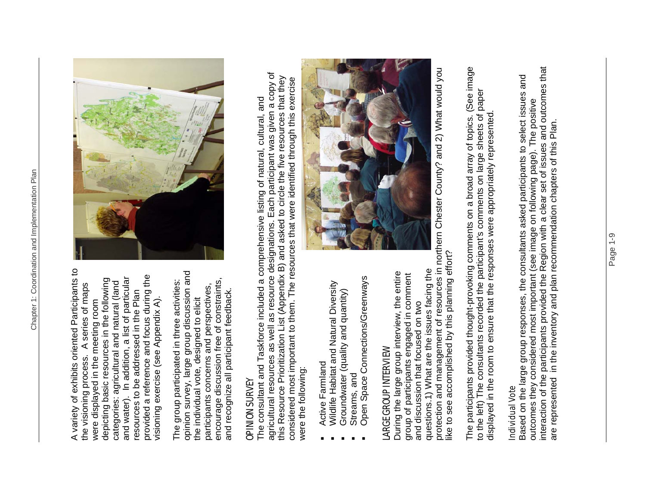A variety of exhibits oriented Participants to A variety of exhibits oriented Participants to provided a reference and focus during the provided a reference and focus during the and water). In addition, a list of particular depicting basic resources in the following and water). In addition, a list of particular depicting basic resources in the following categories: agricultural and natural (land categories: agricultural and natural (land the visioning process. A series of maps the visioning process. A series of maps resources to be addressed in the Plan resources to be addressed in the Plan visioning exercise (see Appendix A). visioning exercise (see Appendix A). were displayed in the meeting room were displayed in the meeting room

opinion survey, large group discussion and opinion survey, large group discussion and encourage discussion free of constraints, The group participated in three activities: encourage discussion free of constraints, The group participated in three activities: participants concerns and perspectives, participants concerns and perspectives, and recognize all participant feedback. and recognize all participant feedback. the individual vote, designed to elicit the individual vote, designed to elicit



#### OPINION SURVEY **OPINION SURVEY**

agricultural resources as well as resource designations. Each participant was given a copy of agricultural resources as well as resource designations. Each participant was given a copy of this Resource Prioritization List (Appendix B) and asked to circle the five resources that they considered most important to them. The resources that were identified through this exercise this Resource Prioritization List (Appendix B) and asked to circle the five resources that they considered most important to them. The resources that were identified through this exercise The consultant and Taskforce included a comprehensive listing of natural, cultural, and The consultant and Taskforce included a comprehensive listing of natural, cultural, and were the following: were the following:

- Active Farmland Active Farmland
- Wildlife Habitat and Natural Diversity Wildlife Habitat and Natural Diversity
	- Groundwater (quality and quantity) Groundwater (quality and quantity)
		- Streams, and Streams, and
- Open Space Connections/Greenways Open Space Connections/Greenways

### LARGE GROUP INTERVIEW **LARGE GROUP INTERVIEW**

questions.1) What are the issues facing the questions.1) What are the issues facing the During the large group interview, the entire During the large group interview, the entire group of participants engaged in comment group of participants engaged in comment and discussion that focused on two and discussion that focused on two



protection and management of resources in northern Chester County? and 2) What would you protection and management of resources in northern Chester County? and 2) What would you like to see accomplished by this planning effort? like to see accomplished by this planning effort?

The participants provided thought-provoking comments on a broad array of topics. (See image The participants provided thought-provoking comments on a broad array of topics. (See image to the left) The consultants recorded the participant's comments on large sheets of paper to the left) The consultants recorded the participant's comments on large sheets of paper displayed in the room to ensure that the responses were appropriately represented. displayed in the room to ensure that the responses were appropriately represented.

#### Individual Vote Individual Vote

interaction of the participants provided the Region with a clear set of issues and outcomes that outcomes they considered most important (see image on following page). The positive<br>interaction of the participants provided the Region with a clear set of issues and outcomes that Based on the large group responses, the consultants asked participants to select issues and Based on the large group responses, the consultants asked participants to select issues and outcomes they considered most important (see image on following page). The positive are represented in the inventory and plan recommendation chapters of this Plan. are represented in the inventory and plan recommendation chapters of this Plan.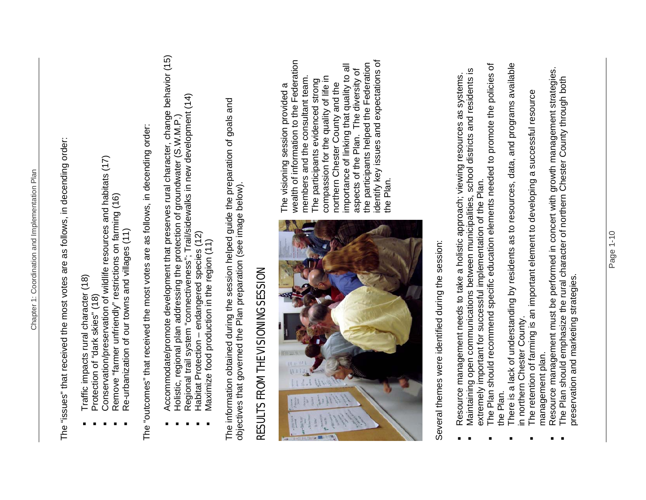The "issues" that received the most votes are as follows, in decending order: The "issues" that received the most votes are as follows, in decending order:

- Traffic impacts rural character (18) Traffic impacts rural character (18)
	- Protection of "dark skies" (18) Protection of "dark skies" (18)
- Conservation/preservation of wildlife resources and habitats (17) Conservation/preservation of wildlife resources and habitats (17)
	- Remove "farmer unfriendly" restrictions on farming (16) Remove "farmer unfriendly" restrictions on farming (16)
		- Re-urbanization of our towns and villages (11) Re-urbanization of our towns and villages (11)

The "outcomes" that received the most votes are as follows, in decending order: The "outcomes" that received the most votes are as follows, in decending order:

- Accommodate/promote development that preserves rural character, change behavior (15) Accommodate/promote development that preserves rural character, change behavior (15)
	- Holistic, regional plan addressing the protection of groundwater (S.W.M.P.) Holistic, regional plan addressing the protection of groundwater (S.W.M.P.)
- Regional trail system "connectiveness"; Trail/sidewalks in new development (14) Regional trail system "connectiveness"; Trail/sidewalks in new development (14)
	- Habitat Protection endangered species (12) Habitat Protection - endangered species (12)
		- **Maximize food production in the region (11)** Maximize food production in the region (11)

The information obtained during the session helped guide the preparation of goals and objectives that governed the Plan preparation (see image below). objectives that governed the Plan preparation (see image below).

## RESULTS FROM THE VISIONING SESSION RESULTS FROM THE VISIONING SESSION



wealth of information to the Federation identify key issues and expectations of wealth of information to the Federation identify key issues and expectations of the participants helped the Federation importance of linking that quality to all the participants helped the Federation importance of linking that quality to all aspects of the Plan. The diversity of aspects of the Plan. The diversity of members and the consultant team. compassion for the quality of life in compassion for the quality of life in members and the consultant team. The participants evidenced strong The participants evidenced strong northern Chester County and the The visioning session provided a The visioning session provided a northern Chester County and the the Plan.

> Several themes were identified during the session: Several themes were identified during the session:

- Maintaining open communications between municipalities, school districts and residents is Maintaining open communications between municipalities, school districts and residents is Resource management needs to take a holistic approach; viewing resources as systems. Resource management needs to take a holistic approach; viewing resources as systems.
- The Plan should recommend specific education elements needed to promote the policies of The Plan should recommend specific education elements needed to promote the policies of extremely important for successful implementation of the Plan. extremely important for successful implementation of the Plan.
- There is a lack of understanding by residents as to resources, data, and programs available There is a lack of understanding by residents as to resources, data, and programs available in northern Chester County. in northern Chester County. the Plan.
	- The retention of farming is an important element to developing a successful resource The retention of farming is an important element to developing a successful resource management plan. management plan.
- Resource management must be performed in concert with growth management strategies. Resource management must be performed in concert with growth management strategies.<br>The Plan should emphasize the rural character of northern Chester County through both
	- The Plan should emphasize the rural character of northern Chester County through both preservation and marketing strategies. preservation and marketing strategies.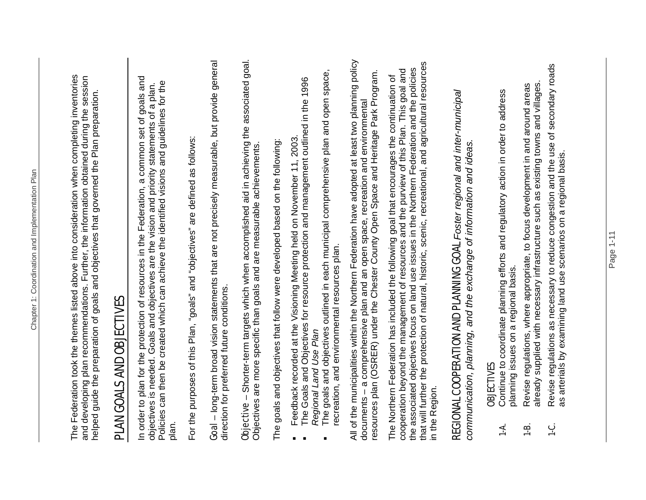|                                                    | The Federation took the themes listed above into consideration when completing inventories<br>and developing plan recommendations. Further, the information obtained during the session<br>helped guide the preparation of goals and objectives that governed the Plan preparation.                                                                                                                                      |
|----------------------------------------------------|--------------------------------------------------------------------------------------------------------------------------------------------------------------------------------------------------------------------------------------------------------------------------------------------------------------------------------------------------------------------------------------------------------------------------|
|                                                    | PLAN GOALS AND OBJECTIVES                                                                                                                                                                                                                                                                                                                                                                                                |
| plan.                                              | In order to plan for the protection of resources in the Federation, a common set of goals and<br>Policies can then be created which can achieve the identified visions and guidelines for the<br>objectives is needed. Goals and objectives are the vision and priority statements of a plan.                                                                                                                            |
|                                                    | For the purposes of this Plan, "goals" and "objectives" are defined as follows:                                                                                                                                                                                                                                                                                                                                          |
|                                                    | Goal - long-term broad vision statements that are not precisely measurable, but provide general<br>direction for preferred future conditions.                                                                                                                                                                                                                                                                            |
|                                                    | Objective - Shorter-term targets which when accomplished aid in achieving the associated goal.<br>Objectives are more specific than goals and are measurable achievements.                                                                                                                                                                                                                                               |
|                                                    | The goals and objectives that follow were developed based on the following:                                                                                                                                                                                                                                                                                                                                              |
| $\blacksquare$<br>$\blacksquare$<br>$\blacksquare$ | The goals and objectives outlined in each municipal comprehensive plan and open space,<br>The Goals and Objectives for resource protection and management outlined in the 1996<br>Feedback recorded at the Visioning Meeting held on November 11, 2003.<br>Regional Land Use Plan                                                                                                                                        |
|                                                    | recreation, and environmental resources plan.                                                                                                                                                                                                                                                                                                                                                                            |
|                                                    | All of the municipalities within the Northern Federation have adopted at least two planning policy<br>resources plan (OSRER) under the Chester County Open Space and Heritage Park Program.<br>documents - a comprehensive plan and an open space, recreation and environmental                                                                                                                                          |
|                                                    | that will further the protection of natural, historic, scenic, recreational, and agricultural resources<br>the associated objectives focus on land use issues in the Northern Federation and the policies<br>cooperation beyond the management of resources and the purview of this Plan. This goal and<br>The Northern Federation has included the following goal that encourages the continuation of<br>in the Region. |
|                                                    | REGIONAL COOPERATION AND PLANNING GOAL Foster regional and inter-municipal<br>communication, planning, and the exchange of information and ideas.                                                                                                                                                                                                                                                                        |
| ។<br>-                                             | Continue to coordinate planning efforts and regulatory action in order to address<br>planning issues on a regional basis.<br>OBJECTIVES                                                                                                                                                                                                                                                                                  |
| $\frac{1}{1}$                                      | already supplied with necessary infrastructure such as existing towns and villages<br>Revise regulations, where appropriate, to focus development in and around areas                                                                                                                                                                                                                                                    |
| <u>ب</u><br>+                                      | Revise regulations as necessary to reduce congestion and the use of secondary roads<br>as arterials by examining land use scenarios on a regional basis.                                                                                                                                                                                                                                                                 |
|                                                    |                                                                                                                                                                                                                                                                                                                                                                                                                          |

Chapter 1: Coordination and Implementation Plan

Chapter 1: Coordination and Implementation Plan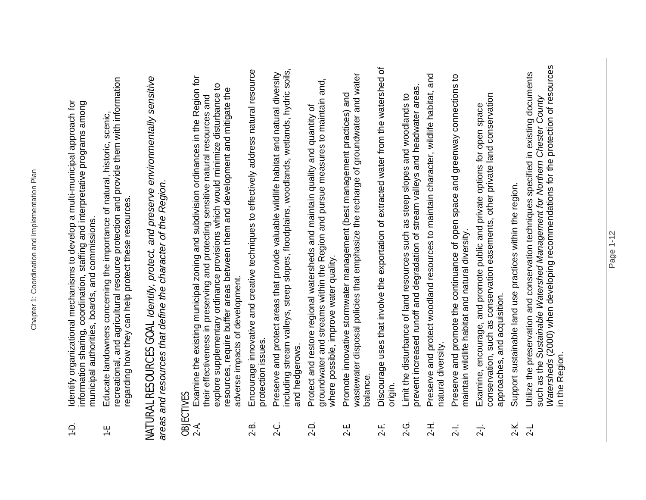- 1-D. Identify organizational mechanisms to develop a multi-municipal approach for information sharing, coordination, staffing and interpretative programs among Identify organizational mechanisms to develop a multi-municipal approach for information sharing, coordination, staffing and interpretative programs among municipal authorities, boards, and commissions. municipal authorities, boards, and commissions.  $\frac{1}{2}$
- recreational, and agricultural resource protection and provide them with information recreational, and agricultural resource protection and provide them with information 1-E Educate landowners concerning the importance of natural, historic, scenic, Educate landowners concerning the importance of natural, historic, scenic, regarding how they can help protect these resources. regarding how they can help protect these resources. 분

## NATURAL RESOURCES GOAL *Identify, protect, and preserve environmentally sensitive*  **NATURAL RESOURCES GOAL** Identify, protect, and preserve environmentally sensitive *areas and resources that define the character of the Region.*  areas and resources that define the character of the Region.

### OBJECTIVES

- 2-A. Examine the existing municipal zoning and subdivision ordinances in the Region for Examine the existing municipal zoning and subdivision ordinances in the Region for explore supplementary ordinance provisions which would minimize disturbance to explore supplementary ordinance provisions which would minimize disturbance to resources, require buffer areas between them and development and mitigate the resources, require buffer areas between them and development and mitigate the their effectiveness in preserving and protecting sensitive natural resources and their effectiveness in preserving and protecting sensitive natural resources and adverse impacts of development. adverse impacts of development.  $2 - 4$
- 2-B. Encourage innovative and creative techniques to effectively address natural resource Encourage innovative and creative techniques to effectively address natural resource protection issues. protection issues.  $2 - B$
- including stream valleys, steep slopes, floodplains, woodlands, wetlands, hydric soils, 2-C. Preserve and protect areas that provide valuable wildlife habitat and natural diversity including stream valleys, steep slopes, floodplains, woodlands, wetlands, hydric soils, Preserve and protect areas that provide valuable wildlife habitat and natural diversity and hedgerows. and hedgerows. <u>ي</u><br>2-
- groundwater and streams within the Region and pursue measures to maintain and, groundwater and streams within the Region and pursue measures to maintain and, 2-D. Protect and restore regional watersheds and maintain quality and quantity of Protect and restore regional watersheds and maintain quality and quantity of where possible, improve water quality. where possible, improve water quality.  $2 - D$
- wastewater disposal policies that emphasize the recharge of groundwater and water wastewater disposal policies that emphasize the recharge of groundwater and water 2-E. Promote innovative stormwater management (best management practices) and Promote innovative stormwater management (best management practices) and balance.  $2 - E$
- 2-F. Discourage uses that involve the exportation of extracted water from the watershed of Discourage uses that involve the exportation of extracted water from the watershed of origin. <u>가.</u>
- prevent increased runoff and degradation of stream valleys and headwater areas. prevent increased runoff and degradation of stream valleys and headwater areas. **2-G.** Limit the disturbance of land resources such as steep slopes and woodlands to Limit the disturbance of land resources such as steep slopes and woodlands to <u>ငှ</u>
- 2-H. Preserve and protect woodland resources to maintain character, wildlife habitat, and Preserve and protect woodland resources to maintain character, wildlife habitat, and natural diversity. natural diversity.  $2-H.$
- 2-I. Preserve and promote the continuance of open space and greenway connections to Preserve and promote the continuance of open space and greenway connections to maintain wildlife habitat and natural diversity. maintain wildlife habitat and natural diversity.  $2-1$ .
- conservation, such as conservation easements, other private land conservation conservation, such as conservation easements, other private land conservation 2-J. Examine, encourage, and promote public and private options for open space Examine, encourage, and promote public and private options for open space approaches, and acquisition. approaches, and acquisition.  $2 - J$
- 2-K. Support sustainable land use practices within the region. Support sustainable land use practices within the region.  $2-K$
- *Watersheds* (2000) when developing recommendations for the protection of resources Watersheds (2000) when developing recommendations for the protection of resources 2-L. Utilize the preservation and conservation techniques specified in existing documents Utilize the preservation and conservation techniques specified in existing documents such as the *Sustainable Watershed Management for Northern Chester County*  such as the Sustainable Watershed Management for Northern Chester County in the Region. in the Region.  $2 - 1$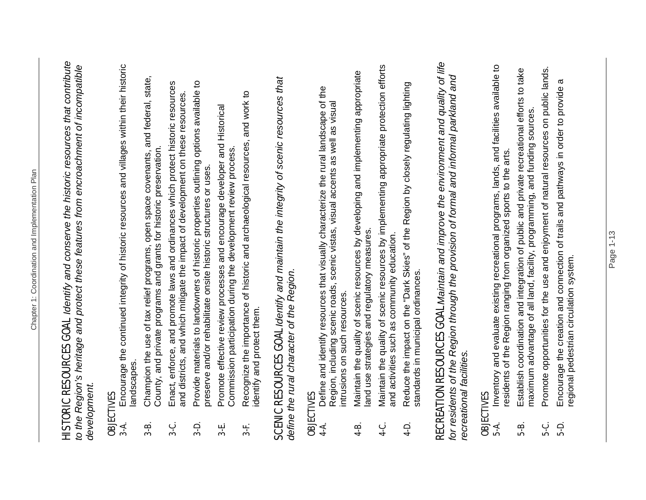HISTORIC RESOURCES GOAL *Identify and conserve the historic resources that contribute*  **HISTORIC RESOURCES GOAL** Identify and conserve the historic resources that contribute *to the Region's heritage and protect these features from encroachment of incompatible*  to the Region's heritage and protect these features from encroachment of incompatible *development.*  development.

- **OBJECTIVES**<br>3-A. Encourage the continued integrity of historic resources and villages within their historic 3-A. Encourage the continued integrity of historic resources and villages within their historic landscapes. landscapes.  $3 - A$
- **3-B.** Champion the use of tax relief programs, open space covenants, and federal, state, Champion the use of tax relief programs, open space covenants, and federal, state, County, and private programs and grants for historic preservation. County, and private programs and grants for historic preservation  $3-8$ .
- 3-C. Enact, enforce, and promote laws and ordinances which protect historic resources Enact, enforce, and promote laws and ordinances which protect historic resources and districts, and which mitigate the impact of development on these resources. and districts, and which mitigate the impact of development on these resources. **نې**<br>په
	- 3-D. Provide materials to landowners of historic properties outlining options available to Provide materials to landowners of historic properties outlining options available to preserve and/or rehabilitate onsite historic structures or uses. preserve and/or rehabilitate onsite historic structures or uses.  $\frac{1}{3}$ 
		- 3-E. Promote effective review processes and encourage developer and Historical Promote effective review processes and encourage developer and Historical Commission participation during the development review process. Commission participation during the development review process.  $3 - E$
- 3-F. Recognize the importance of historic and archaeological resources, and work to Recognize the importance of historic and archaeological resources, and work to identify and protect them. identify and protect them. 34.

SCENIC RESOURCES GOAL *Identify and maintain the integrity of scenic resources that*  **SCENIC RESOURCES GOAL** Identify and maintain the integrity of scenic resources that *define the rural character of the Region.* define the rural character of the Region.

### OBJECTIVES

- 4-A. Define and identify resources that visually characterize the rural landscape of the Define and identify resources that visually characterize the rural landscape of the Region, including scenic roads, scenic vistas, visual accents as well as visual Region, including scenic roads, scenic vistas, visual accents as well as visual intrusions on such resources. intrusions on such resources.  $4 - A$
- 4-B. Maintain the quality of scenic resources by developing and implementing appropriate Maintain the quality of scenic resources by developing and implementing appropriate land use strategies and regulatory measures. land use strategies and regulatory measures.  $4-8$
- 4-C. Maintain the quality of scenic resources by implementing appropriate protection efforts Maintain the quality of scenic resources by implementing appropriate protection efforts and activities such as community education. and activities such as community education. ن<br>4-
- 4-D. Reduce the impact on the "Dark Skies" of the Region by closely regulating lighting Reduce the impact on the "Dark Skies" of the Region by closely regulating lighting standards in municipal ordinances. standards in municipal ordinances.  $4-D.$

## RECREATION RESOURCES GOAL *Maintain and improve the environment and quality of life*  RECREATION RESOURCES GOAL Maintain and improve the environment and quality of life for residents of the Region through the provision of formal and informal parkland and for residents of the Region through the provision of formal and informal parkland and *recreational facilities.*  recreational facilities.

- 5-A. Inventory and evaluate existing recreational programs, lands, and facilities available to **OBJECTIVES**<br>5-A. Inventory and evaluate existing recreational programs, lands, and facilities available to residents of the Region ranging from organized sports to the arts. residents of the Region ranging from organized sports to the arts.
	- 5-B. Establish coordination and integration of public and private recreational efforts to take Establish coordination and integration of public and private recreational efforts to take maximum advantage of all land, facility, programming, and funding sources. maximum advantage of all land, facility, programming, and funding sources. 5-B.
- 5-C. Promote opportunities for the use and enjoyment of natural resources on public lands. Promote opportunities for the use and enjoyment of natural resources on public lands. ပုံ<br>ဂ
	- 5-D. Encourage the creation and connection of trails and pathways in order to provide a  $\sigma$ Encourage the creation and connection of trails and pathways in order to provide regional pedestrian circulation system. regional pedestrian circulation system.  $\frac{1}{5}$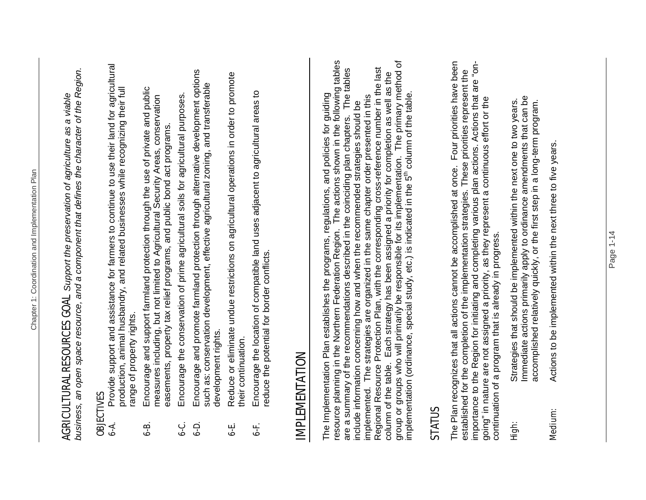Chapter 1: Coordination and Implementation Plan

Chapter 1: Coordination and Implementation Plan

### OBJECTIVES

- 6-A. Provide support and assistance for farmers to continue to use their land for agricultural Provide support and assistance for farmers to continue to use their land for agricultural production, animal husbandry, and related businesses while recognizing their full production, animal husbandry, and related businesses while recognizing their full range of property rights. range of property rights.  $\ddot{\bm{r}}$
- 6-B. Encourage and support farmland protection through the use of private and public Encourage and support farmland protection through the use of private and public measures including, but not limited to Agricultural Security Areas, conservation measures including, but not limited to Agricultural Security Areas, conservation easements, property tax relief programs, and public bond act programs. easements, property tax relief programs, and public bond act programs. <u>ය</u><br>ර
- 6-C. Encourage the conservation of prime agricultural soils for agricultural purposes. Encourage the conservation of prime agricultural soils for agricultural purposes. ن<br>ما
- 6-D. Encourage and promote farmland protection through alternative development options Encourage and promote farmland protection through alternative development options such as: conservation development, effective agricultural zoning, and transferable such as: conservation development, effective agricultural zoning, and transferable development rights. development rights.  $\overline{6}$ -b.
- 6-E. Reduce or eliminate undue restrictions on agricultural operations in order to promote Reduce or eliminate undue restrictions on agricultural operations in order to promote their continuation. their continuation. نها<br>ما
- 6-F. Encourage the location of compatible land uses adjacent to agricultural areas to Encourage the location of compatible land uses adjacent to agricultural areas to reduce the potential for border conflicts. reduce the potential for border conflicts. <u>نې</u>

### IMPLEMENTATION **IMPLEMENTATION**

resource planning in the Northern Federation Region. The actions shown in the following tables group or groups who will primarily be responsible for its implementation. The primary method of The Implementation Plan establishes the programs, regulations, and policies for guiding<br>resource planning in the Northern Federation Region. The actions shown in the following tables group or groups who will primarily be responsible for its implementation. The primary method of Regional Resource Protection Plan, with the corresponding cross-reference number in the last are a summary of the recommendations described in the coinciding plan chapters. The tables are a summary of the recommendations described in the coinciding plan chapters. The tables Regional Resource Protection Plan, with the corresponding cross-reference number in the last column of the table. Each strategy has been assigned a priority for completion as well as the column of the table. Each strategy has been assigned a priority for completion as well as the implementation (ordinance, special study, etc.) is indicated in the  $5<sup>th</sup>$  column of the table. The Implementation Plan establishes the programs, regulations, and policies for guiding implementation (ordinance, special study, etc.) is indicated in the 5<sup>th</sup> column of the table. implemented. The strategies are organized in the same chapter order presented in this implemented. The strategies are organized in the same chapter order presented in this include information concerning how and when the recommended strategies should be include information concerning how and when the recommended strategies should be

#### STATUS

The Plan recognizes that all actions cannot be accomplished at once. Four priorities have been The Plan recognizes that all actions cannot be accomplished at once. Four priorities have been importance to the Region for initiating and completing various plan actions. Actions that are "onimportance to the Region for initiating and completing various plan actions. Actions that are "onestablished for the completion of the implementation strategies. These priorities represent the established for the completion of the implementation strategies. These priorities represent the going" in nature are not assigned a priority, as they represent a continuous effort or the going" in nature are not assigned a priority, as they represent a continuous effort or the continuation of a program that is already in progress. continuation of a program that is already in progress.

- Immediate actions primarily apply to ordinance amendments that can be Immediate actions primarily apply to ordinance amendments that can be **High:** Strategies that should be implemented within the next one to two years. Strategies that should be implemented within the next one to two years. accomplished relatively quickly, or the first step in a long-term program. accomplished relatively quickly, or the first step in a long-term program. tigh:
- Medium: Actions to be implemented within the next three to five years. Actions to be implemented within the next three to five years. Medium: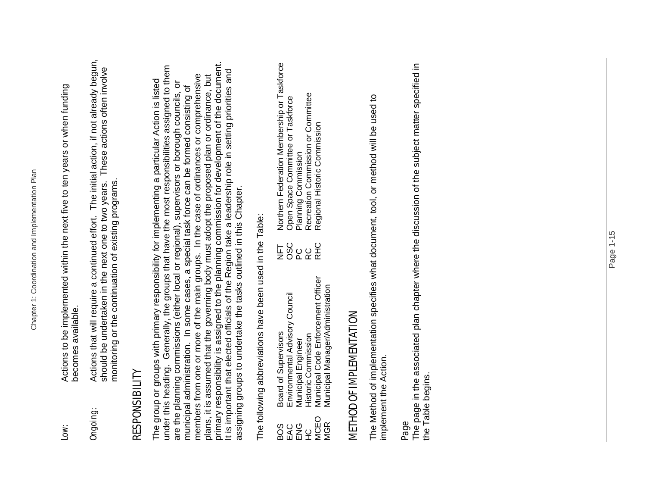| Low:                  | Actions to be implemented within the next five to ten years or when funding<br>becomes available.                                                                                                                                 |
|-----------------------|-----------------------------------------------------------------------------------------------------------------------------------------------------------------------------------------------------------------------------------|
| Ongoing:              | Actions that will require a continued effort. The initial action, if not already begun,<br>should be undertaken in the next one to two years. These actions often involve<br>monitoring or the continuation of existing programs. |
| <b>RESPONSIBILITY</b> |                                                                                                                                                                                                                                   |

primary responsibility is assigned to the planning commission for development of the document. primary responsibility is assigned to the planning commission for development of the document.<br>It is important that elected officials of the Region take a leadership role in setting priorities and under this heading. Generally, the groups that have the most responsibilities assigned to them under this heading. Generally, the groups that have the most responsibilities assigned to them<br>are the planning commissions (either local or regional), supervisors or borough councils, or It is important that elected officials of the Region take a leadership role in setting priorities and members from one or more of the main groups. In the case of ordinances or comprehensive members from one or more of the main groups. In the case of ordinances or comprehensive plans, it is assumed that the governing body must adopt the proposed plan or ordinance, but plans, it is assumed that the governing body must adopt the proposed plan or ordinance, but The group or groups with primary responsibility for implementing a particular Action is listed The group or groups with primary responsibility for implementing a particular Action is listed are the planning commissions (either local or regional), supervisors or borough councils, or municipal administration. In some cases, a special task force can be formed consisting of municipal administration. In some cases, a special task force can be formed consisting of assigning groups to undertake the tasks outlined in this Chapter. assigning groups to undertake the tasks outlined in this Chapter.

The following abbreviations have been used in the Table: The following abbreviations have been used in the Table:

| BOS         | Board of Supervisors               |            | NFT Northern Federation Membership or Taskforce |
|-------------|------------------------------------|------------|-------------------------------------------------|
| EAC         | Environmental Advisory Council     | OSC        | Open Space Committee or Taskforce               |
| ENG         | <b>Aunicipal Engineer</b>          | 20<br>RC   | Planning Commission                             |
| 오<br>노      | <b>Historic Commission</b>         |            | Recreation Commission or Committee              |
| <b>MCEO</b> | Municipal Code Enforcement Officer | <b>RHC</b> | Regional Historic Commission                    |
| MGR<br>     | Municipal Manager/Administration   |            |                                                 |

## METHOD OF IMPLEMENTATION METHOD OF IMPLEMENTATION

The Method of implementation specifies what document, tool, or method will be used to The Method of implementation specifies what document, tool, or method will be used to implement the Action. implement the Action.

#### Page

The page in the associated plan chapter where the discussion of the subject matter specified in The page in the associated plan chapter where the discussion of the subject matter specified in the Table begins. the Table begins.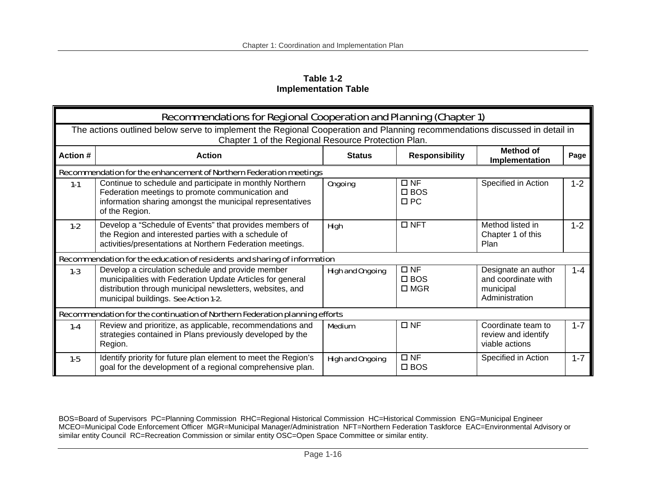**Table 1-2 Implementation Table** 

|                                                                    | Recommendations for Regional Cooperation and Planning (Chapter 1)                                                                                                                                                    |                         |                                             |                                                                           |         |  |  |  |
|--------------------------------------------------------------------|----------------------------------------------------------------------------------------------------------------------------------------------------------------------------------------------------------------------|-------------------------|---------------------------------------------|---------------------------------------------------------------------------|---------|--|--|--|
|                                                                    | The actions outlined below serve to implement the Regional Cooperation and Planning recommendations discussed in detail in<br>Chapter 1 of the Regional Resource Protection Plan.                                    |                         |                                             |                                                                           |         |  |  |  |
| Action #                                                           | <b>Action</b>                                                                                                                                                                                                        | <b>Status</b>           | <b>Responsibility</b>                       | <b>Method of</b><br>Implementation                                        | Page    |  |  |  |
| Recommendation for the enhancement of Northern Federation meetings |                                                                                                                                                                                                                      |                         |                                             |                                                                           |         |  |  |  |
| $1 - 1$                                                            | Continue to schedule and participate in monthly Northern<br>Federation meetings to promote communication and<br>information sharing amongst the municipal representatives<br>of the Region.                          | <b>Ongoing</b>          | $\Box$ NF<br>$\Box$ BOS<br>$\Box$ PC        | Specified in Action                                                       | $1 - 2$ |  |  |  |
| $1-2$                                                              | Develop a "Schedule of Events" that provides members of<br>the Region and interested parties with a schedule of<br>activities/presentations at Northern Federation meetings.                                         | <b>High</b>             | $\Box$ NFT                                  | Method listed in<br>Chapter 1 of this<br>Plan                             | $1 - 2$ |  |  |  |
|                                                                    | Recommendation for the education of residents and sharing of information                                                                                                                                             |                         |                                             |                                                                           |         |  |  |  |
| $1 - 3$                                                            | Develop a circulation schedule and provide member<br>municipalities with Federation Update Articles for general<br>distribution through municipal newsletters, websites, and<br>municipal buildings. See Action 1-2. | <b>High and Ongoing</b> | $\Box$ NF<br>$\square$ BOS<br>$\square$ MGR | Designate an author<br>and coordinate with<br>municipal<br>Administration | $1 - 4$ |  |  |  |
|                                                                    | Recommendation for the continuation of Northern Federation planning efforts                                                                                                                                          |                         |                                             |                                                                           |         |  |  |  |
| $1 - 4$                                                            | Review and prioritize, as applicable, recommendations and<br>strategies contained in Plans previously developed by the<br>Region.                                                                                    | <b>Medium</b>           | $\Box$ NF                                   | Coordinate team to<br>review and identify<br>viable actions               | $1 - 7$ |  |  |  |
| $1-5$                                                              | Identify priority for future plan element to meet the Region's<br>goal for the development of a regional comprehensive plan.                                                                                         | <b>High and Ongoing</b> | $\Box$ NF<br>$\square$ BOS                  | Specified in Action                                                       | $1 - 7$ |  |  |  |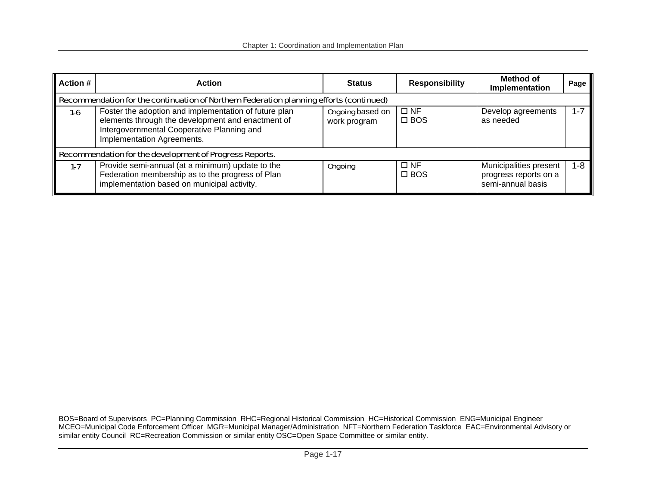| <b>Action #</b> | <b>Action</b>                                                                                                                                                                          | <b>Status</b>                           | <b>Responsibility</b>         | Method of<br>Implementation                                          | Page    |  |  |  |  |
|-----------------|----------------------------------------------------------------------------------------------------------------------------------------------------------------------------------------|-----------------------------------------|-------------------------------|----------------------------------------------------------------------|---------|--|--|--|--|
|                 | Recommendation for the continuation of Northern Federation planning efforts (continued)                                                                                                |                                         |                               |                                                                      |         |  |  |  |  |
| $1-6$           | Foster the adoption and implementation of future plan<br>elements through the development and enactment of<br>Intergovernmental Cooperative Planning and<br>Implementation Agreements. | <b>Ongoing</b> based on<br>work program | $\square$ NF<br>$\square$ BOS | Develop agreements<br>as needed                                      | $1 - 7$ |  |  |  |  |
|                 | Recommendation for the development of Progress Reports.                                                                                                                                |                                         |                               |                                                                      |         |  |  |  |  |
| $1 - 7$         | Provide semi-annual (at a minimum) update to the<br>Federation membership as to the progress of Plan<br>implementation based on municipal activity.                                    | <b>Ongoing</b>                          | $\square$ NF<br>$\square$ BOS | Municipalities present<br>progress reports on a<br>semi-annual basis | $1 - 8$ |  |  |  |  |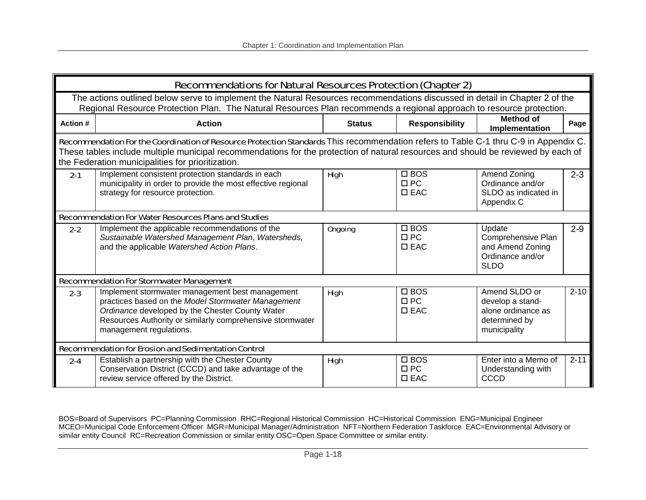|                                                                                                                                                                                                                                                                                                                                | <b>Recommendations for Natural Resources Protection (Chapter 2)</b>                                                                                                                                                                                 |                |                                             |                                                                                          |          |  |  |
|--------------------------------------------------------------------------------------------------------------------------------------------------------------------------------------------------------------------------------------------------------------------------------------------------------------------------------|-----------------------------------------------------------------------------------------------------------------------------------------------------------------------------------------------------------------------------------------------------|----------------|---------------------------------------------|------------------------------------------------------------------------------------------|----------|--|--|
|                                                                                                                                                                                                                                                                                                                                | The actions outlined below serve to implement the Natural Resources recommendations discussed in detail in Chapter 2 of the<br>Regional Resource Protection Plan. The Natural Resources Plan recommends a regional approach to resource protection. |                |                                             |                                                                                          |          |  |  |
| Action #                                                                                                                                                                                                                                                                                                                       | <b>Action</b>                                                                                                                                                                                                                                       | <b>Status</b>  | <b>Responsibility</b>                       | <b>Method of</b><br>Implementation                                                       | Page     |  |  |
| Recommendation For the Coordination of Resource Protection Standards This recommendation refers to Table C-1 thru C-9 in Appendix C.<br>These tables include multiple municipal recommendations for the protection of natural resources and should be reviewed by each of<br>the Federation municipalities for prioritization. |                                                                                                                                                                                                                                                     |                |                                             |                                                                                          |          |  |  |
| $2 - 1$                                                                                                                                                                                                                                                                                                                        | Implement consistent protection standards in each<br>municipality in order to provide the most effective regional<br>strategy for resource protection.                                                                                              | High           | $\square$ BOS<br>$\Box$ PC<br>$\square$ EAC | Amend Zoning<br>Ordinance and/or<br>SLDO as indicated in<br>Appendix C                   | $2 - 3$  |  |  |
| <b>Recommendation For Water Resources Plans and Studies</b>                                                                                                                                                                                                                                                                    |                                                                                                                                                                                                                                                     |                |                                             |                                                                                          |          |  |  |
| $2 - 2$                                                                                                                                                                                                                                                                                                                        | Implement the applicable recommendations of the<br>Sustainable Watershed Management Plan, Watersheds,<br>and the applicable Watershed Action Plans.                                                                                                 | <b>Ongoing</b> | $\square$ BOS<br>$\Box$ PC<br>$\square$ EAC | Update<br>Comprehensive Plan<br>and Amend Zoning<br>Ordinance and/or<br><b>SLDO</b>      | $2 - 9$  |  |  |
|                                                                                                                                                                                                                                                                                                                                | <b>Recommendation For Stormwater Management</b>                                                                                                                                                                                                     |                |                                             |                                                                                          |          |  |  |
| $2 - 3$                                                                                                                                                                                                                                                                                                                        | Implement stormwater management best management<br>practices based on the Model Stormwater Management<br>Ordinance developed by the Chester County Water<br>Resources Authority or similarly comprehensive stormwater<br>management regulations.    | <b>High</b>    | $\square$ BOS<br>$\Box$ PC<br>$\square$ EAC | Amend SLDO or<br>develop a stand-<br>alone ordinance as<br>determined by<br>municipality | $2 - 10$ |  |  |
|                                                                                                                                                                                                                                                                                                                                | <b>Recommendation for Erosion and Sedimentation Control</b>                                                                                                                                                                                         |                |                                             |                                                                                          |          |  |  |
| $2 - 4$                                                                                                                                                                                                                                                                                                                        | Establish a partnership with the Chester County<br>Conservation District (CCCD) and take advantage of the<br>review service offered by the District.                                                                                                | <b>High</b>    | $\square$ BOS<br>$\Box$ PC<br>$\square$ EAC | Enter into a Memo of<br>Understanding with<br><b>CCCD</b>                                | $2 - 11$ |  |  |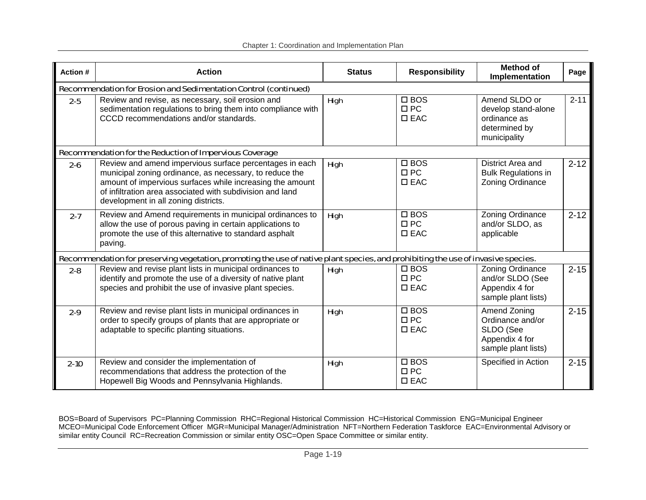| Action # | <b>Action</b>                                                                                                                                                                                                                                                                        | <b>Status</b> | <b>Responsibility</b>                       | <b>Method of</b><br>Implementation                                                     | Page     |  |
|----------|--------------------------------------------------------------------------------------------------------------------------------------------------------------------------------------------------------------------------------------------------------------------------------------|---------------|---------------------------------------------|----------------------------------------------------------------------------------------|----------|--|
|          | Recommendation for Erosion and Sedimentation Control (continued)                                                                                                                                                                                                                     |               |                                             |                                                                                        |          |  |
| $2 - 5$  | Review and revise, as necessary, soil erosion and<br>sedimentation regulations to bring them into compliance with<br>CCCD recommendations and/or standards.                                                                                                                          | <b>High</b>   | $\square$ BOS<br>$\Box$ PC<br>$\square$ EAC | Amend SLDO or<br>develop stand-alone<br>ordinance as<br>determined by<br>municipality  | $2 - 11$ |  |
|          | Recommendation for the Reduction of Impervious Coverage                                                                                                                                                                                                                              |               |                                             |                                                                                        |          |  |
| $2 - 6$  | Review and amend impervious surface percentages in each<br>municipal zoning ordinance, as necessary, to reduce the<br>amount of impervious surfaces while increasing the amount<br>of infiltration area associated with subdivision and land<br>development in all zoning districts. | High          | $\square$ BOS<br>$\Box$ PC<br>$\square$ EAC | District Area and<br><b>Bulk Regulations in</b><br>Zoning Ordinance                    | $2 - 12$ |  |
| $2 - 7$  | Review and Amend requirements in municipal ordinances to<br>allow the use of porous paving in certain applications to<br>promote the use of this alternative to standard asphalt<br>paving.                                                                                          | <b>High</b>   | $\square$ BOS<br>$\Box$ PC<br>$\square$ EAC | Zoning Ordinance<br>and/or SLDO, as<br>applicable                                      | $2 - 12$ |  |
|          | Recommendation for preserving vegetation, promoting the use of native plant species, and prohibiting the use of invasive species.                                                                                                                                                    |               |                                             |                                                                                        |          |  |
| $2 - 8$  | Review and revise plant lists in municipal ordinances to<br>identify and promote the use of a diversity of native plant<br>species and prohibit the use of invasive plant species.                                                                                                   | High          | $\square$ BOS<br>$\Box$ PC<br>$\square$ EAC | Zoning Ordinance<br>and/or SLDO (See<br>Appendix 4 for<br>sample plant lists)          | $2 - 15$ |  |
| $2 - 9$  | Review and revise plant lists in municipal ordinances in<br>order to specify groups of plants that are appropriate or<br>adaptable to specific planting situations.                                                                                                                  | High          | $\square$ BOS<br>$\Box$ PC<br>$\square$ EAC | Amend Zoning<br>Ordinance and/or<br>SLDO (See<br>Appendix 4 for<br>sample plant lists) | $2 - 15$ |  |
| $2 - 10$ | Review and consider the implementation of<br>recommendations that address the protection of the<br>Hopewell Big Woods and Pennsylvania Highlands.                                                                                                                                    | High          | $\square$ BOS<br>$\Box$ PC<br>$\square$ EAC | Specified in Action                                                                    | $2 - 15$ |  |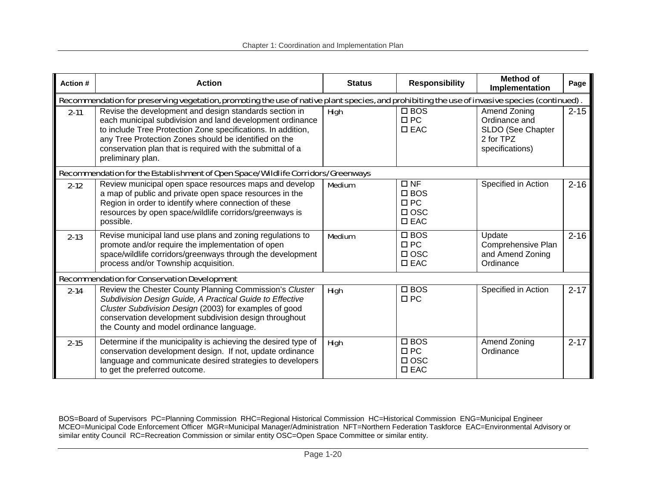| <b>Action#</b> | <b>Action</b>                                                                                                                                                                                                                                                                                                                   | <b>Status</b> | <b>Responsibility</b>                                                  | <b>Method of</b><br>Implementation                                                 | Page     |  |  |
|----------------|---------------------------------------------------------------------------------------------------------------------------------------------------------------------------------------------------------------------------------------------------------------------------------------------------------------------------------|---------------|------------------------------------------------------------------------|------------------------------------------------------------------------------------|----------|--|--|
|                | Recommendation for preserving vegetation, promoting the use of native plant species, and prohibiting the use of invasive species (continued).                                                                                                                                                                                   |               |                                                                        |                                                                                    |          |  |  |
| $2 - 11$       | Revise the development and design standards section in<br>each municipal subdivision and land development ordinance<br>to include Tree Protection Zone specifications. In addition,<br>any Tree Protection Zones should be identified on the<br>conservation plan that is required with the submittal of a<br>preliminary plan. | <b>High</b>   | $\square$ BOS<br>$\Box$ PC<br>$\square$ EAC                            | Amend Zoning<br>Ordinance and<br>SLDO (See Chapter<br>2 for TPZ<br>specifications) | $2 - 15$ |  |  |
|                | Recommendation for the Establishment of Open Space/Wildlife Corridors/Greenways                                                                                                                                                                                                                                                 |               |                                                                        |                                                                                    |          |  |  |
| $2 - 12$       | Review municipal open space resources maps and develop<br>a map of public and private open space resources in the<br>Region in order to identify where connection of these<br>resources by open space/wildlife corridors/greenways is<br>possible.                                                                              | <b>Medium</b> | $\Box$ NF<br>$\square$ BOS<br>$\Box$ PC<br>$\Box$ OSC<br>$\square$ EAC | Specified in Action                                                                | $2 - 16$ |  |  |
| $2 - 13$       | Revise municipal land use plans and zoning regulations to<br>promote and/or require the implementation of open<br>space/wildlife corridors/greenways through the development<br>process and/or Township acquisition.                                                                                                            | <b>Medium</b> | $\square$ BOS<br>$\Box$ PC<br>$\Box$ OSC<br>$\square$ EAC              | Update<br>Comprehensive Plan<br>and Amend Zoning<br>Ordinance                      | $2 - 16$ |  |  |
|                | <b>Recommendation for Conservation Development</b>                                                                                                                                                                                                                                                                              |               |                                                                        |                                                                                    |          |  |  |
| $2 - 14$       | Review the Chester County Planning Commission's Cluster<br>Subdivision Design Guide, A Practical Guide to Effective<br>Cluster Subdivision Design (2003) for examples of good<br>conservation development subdivision design throughout<br>the County and model ordinance language.                                             | <b>High</b>   | $\square$ BOS<br>$\square$ PC                                          | Specified in Action                                                                | $2 - 17$ |  |  |
| $2 - 15$       | Determine if the municipality is achieving the desired type of<br>conservation development design. If not, update ordinance<br>language and communicate desired strategies to developers<br>to get the preferred outcome.                                                                                                       | <b>High</b>   | $\square$ BOS<br>$\Box$ PC<br>$\Box$ OSC<br>$\square$ EAC              | Amend Zoning<br>Ordinance                                                          | $2 - 17$ |  |  |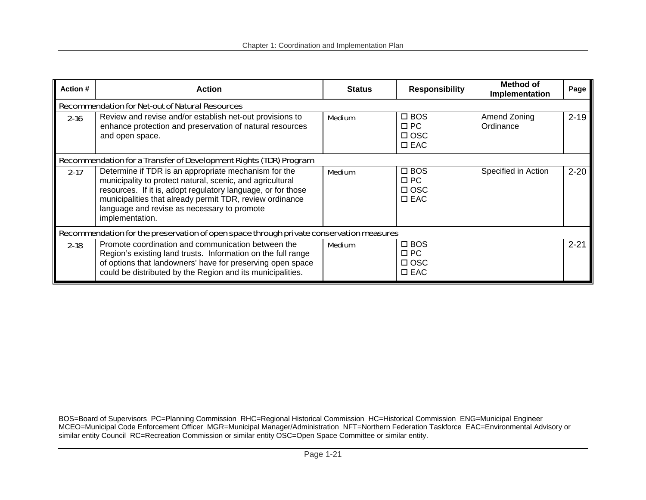| Action #                                                                                | <b>Action</b>                                                                                                                                                                                                                                                                                                   | <b>Status</b> | <b>Responsibility</b>                                     | Method of<br>Implementation | Page     |  |  |  |
|-----------------------------------------------------------------------------------------|-----------------------------------------------------------------------------------------------------------------------------------------------------------------------------------------------------------------------------------------------------------------------------------------------------------------|---------------|-----------------------------------------------------------|-----------------------------|----------|--|--|--|
|                                                                                         | <b>Recommendation for Net-out of Natural Resources</b>                                                                                                                                                                                                                                                          |               |                                                           |                             |          |  |  |  |
| $2 - 16$                                                                                | Review and revise and/or establish net-out provisions to<br>enhance protection and preservation of natural resources<br>and open space.                                                                                                                                                                         | <b>Medium</b> | $\square$ BOS<br>$\Box$ PC<br>$\Box$ OSC<br>$\square$ EAC | Amend Zoning<br>Ordinance   | $2 - 19$ |  |  |  |
| Recommendation for a Transfer of Development Rights (TDR) Program                       |                                                                                                                                                                                                                                                                                                                 |               |                                                           |                             |          |  |  |  |
| $2 - 17$                                                                                | Determine if TDR is an appropriate mechanism for the<br>municipality to protect natural, scenic, and agricultural<br>resources. If it is, adopt regulatory language, or for those<br>municipalities that already permit TDR, review ordinance<br>language and revise as necessary to promote<br>implementation. | <b>Medium</b> | $\square$ BOS<br>$\Box$ PC<br>$\Box$ OSC<br>$\square$ EAC | Specified in Action         | $2 - 20$ |  |  |  |
| Recommendation for the preservation of open space through private conservation measures |                                                                                                                                                                                                                                                                                                                 |               |                                                           |                             |          |  |  |  |
| $2 - 18$                                                                                | Promote coordination and communication between the<br>Region's existing land trusts. Information on the full range<br>of options that landowners' have for preserving open space<br>could be distributed by the Region and its municipalities.                                                                  | <b>Medium</b> | $\square$ BOS<br>$\Box$ PC<br>$\Box$ OSC<br>$\square$ EAC |                             | $2 - 21$ |  |  |  |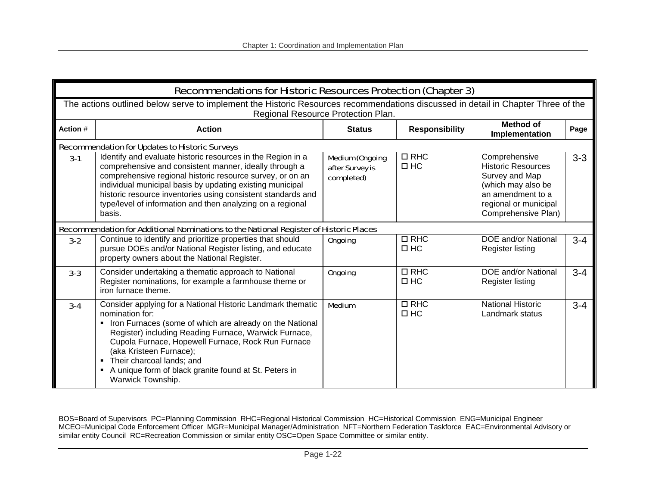|          | <b>Recommendations for Historic Resources Protection (Chapter 3)</b>                                                                                                                                                                                                                                                                                                                              |                                                         |                            |                                                                                                                                                         |         |  |  |
|----------|---------------------------------------------------------------------------------------------------------------------------------------------------------------------------------------------------------------------------------------------------------------------------------------------------------------------------------------------------------------------------------------------------|---------------------------------------------------------|----------------------------|---------------------------------------------------------------------------------------------------------------------------------------------------------|---------|--|--|
|          | The actions outlined below serve to implement the Historic Resources recommendations discussed in detail in Chapter Three of the<br>Regional Resource Protection Plan.                                                                                                                                                                                                                            |                                                         |                            |                                                                                                                                                         |         |  |  |
| Action # | <b>Action</b>                                                                                                                                                                                                                                                                                                                                                                                     | <b>Status</b>                                           | <b>Responsibility</b>      | <b>Method of</b><br>Implementation                                                                                                                      | Page    |  |  |
|          | <b>Recommendation for Updates to Historic Surveys</b>                                                                                                                                                                                                                                                                                                                                             |                                                         |                            |                                                                                                                                                         |         |  |  |
| $3-1$    | Identify and evaluate historic resources in the Region in a<br>comprehensive and consistent manner, ideally through a<br>comprehensive regional historic resource survey, or on an<br>individual municipal basis by updating existing municipal<br>historic resource inventories using consistent standards and<br>type/level of information and then analyzing on a regional<br>basis.           | <b>Medium (Ongoing</b><br>after Survey is<br>completed) | $\Box$ RHC<br>$\square$ HC | Comprehensive<br><b>Historic Resources</b><br>Survey and Map<br>(which may also be<br>an amendment to a<br>regional or municipal<br>Comprehensive Plan) | $3 - 3$ |  |  |
|          | Recommendation for Additional Nominations to the National Register of Historic Places                                                                                                                                                                                                                                                                                                             |                                                         |                            |                                                                                                                                                         |         |  |  |
| $3 - 2$  | Continue to identify and prioritize properties that should<br>pursue DOEs and/or National Register listing, and educate<br>property owners about the National Register.                                                                                                                                                                                                                           | <b>Ongoing</b>                                          | $\Box$ RHC<br>$\Box$ HC    | DOE and/or National<br><b>Register listing</b>                                                                                                          | $3 - 4$ |  |  |
| $3 - 3$  | Consider undertaking a thematic approach to National<br>Register nominations, for example a farmhouse theme or<br>iron furnace theme.                                                                                                                                                                                                                                                             | <b>Ongoing</b>                                          | $\Box$ RHC<br>$\square$ HC | DOE and/or National<br>Register listing                                                                                                                 | $3 - 4$ |  |  |
| $3-4$    | Consider applying for a National Historic Landmark thematic<br>nomination for:<br>• Iron Furnaces (some of which are already on the National<br>Register) including Reading Furnace, Warwick Furnace,<br>Cupola Furnace, Hopewell Furnace, Rock Run Furnace<br>(aka Kristeen Furnace);<br>Their charcoal lands; and<br>A unique form of black granite found at St. Peters in<br>Warwick Township. | <b>Medium</b>                                           | $\Box$ RHC<br>$\square$ HC | <b>National Historic</b><br>Landmark status                                                                                                             | $3 - 4$ |  |  |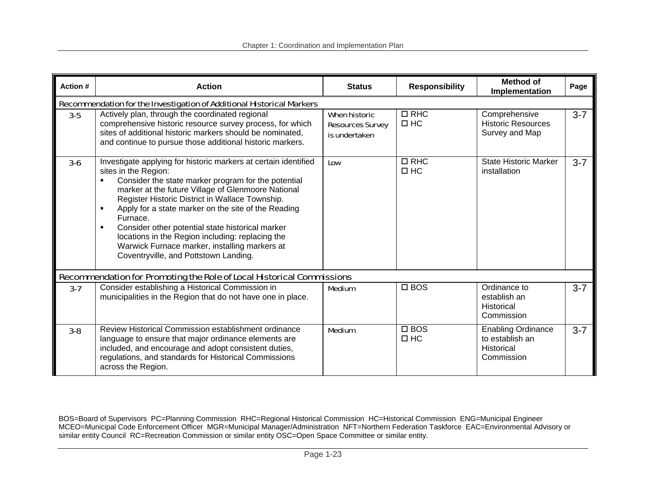| Action # | <b>Action</b>                                                                                                                                                                                                                                                                                                                                                                                                                                                                                                                | <b>Status</b>                                                    | <b>Responsibility</b>      | <b>Method of</b><br>Implementation                                              | Page    |  |
|----------|------------------------------------------------------------------------------------------------------------------------------------------------------------------------------------------------------------------------------------------------------------------------------------------------------------------------------------------------------------------------------------------------------------------------------------------------------------------------------------------------------------------------------|------------------------------------------------------------------|----------------------------|---------------------------------------------------------------------------------|---------|--|
|          | Recommendation for the Investigation of Additional Historical Markers                                                                                                                                                                                                                                                                                                                                                                                                                                                        |                                                                  |                            |                                                                                 |         |  |
| $3-5$    | Actively plan, through the coordinated regional<br>comprehensive historic resource survey process, for which<br>sites of additional historic markers should be nominated,<br>and continue to pursue those additional historic markers.                                                                                                                                                                                                                                                                                       | <b>When historic</b><br><b>Resources Survey</b><br>is undertaken | $\Box$ RHC<br>$\Box$ HC    | Comprehensive<br><b>Historic Resources</b><br>Survey and Map                    | $3 - 7$ |  |
| $3 - 6$  | Investigate applying for historic markers at certain identified<br>sites in the Region:<br>Consider the state marker program for the potential<br>marker at the future Village of Glenmoore National<br>Register Historic District in Wallace Township.<br>Apply for a state marker on the site of the Reading<br>Furnace.<br>Consider other potential state historical marker<br>locations in the Region including: replacing the<br>Warwick Furnace marker, installing markers at<br>Coventryville, and Pottstown Landing. | Low                                                              | $\Box$ RHC<br>$\Box$ HC    | <b>State Historic Marker</b><br>installation                                    | $3 - 7$ |  |
|          | Recommendation for Promoting the Role of Local Historical Commissions                                                                                                                                                                                                                                                                                                                                                                                                                                                        |                                                                  |                            |                                                                                 |         |  |
| $3 - 7$  | Consider establishing a Historical Commission in<br>municipalities in the Region that do not have one in place.                                                                                                                                                                                                                                                                                                                                                                                                              | <b>Medium</b>                                                    | $\square$ BOS              | Ordinance to<br>establish an<br>Historical<br>Commission                        | $3 - 7$ |  |
| $3 - 8$  | Review Historical Commission establishment ordinance<br>language to ensure that major ordinance elements are<br>included, and encourage and adopt consistent duties,<br>regulations, and standards for Historical Commissions<br>across the Region.                                                                                                                                                                                                                                                                          | <b>Medium</b>                                                    | $\square$ BOS<br>$\Box$ HC | <b>Enabling Ordinance</b><br>to establish an<br><b>Historical</b><br>Commission | $3 - 7$ |  |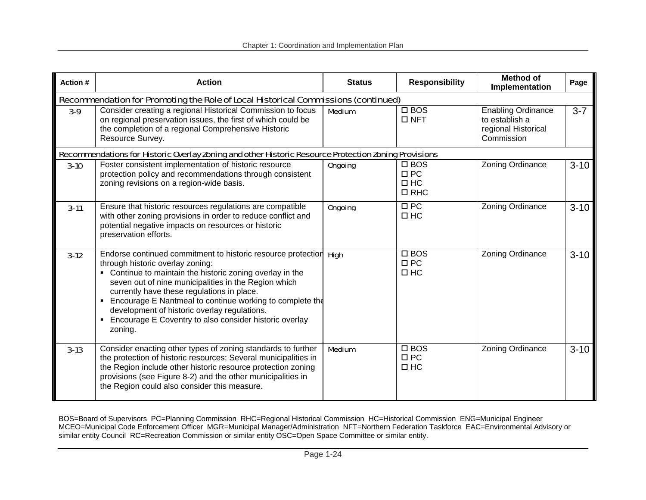| Action # | <b>Action</b>                                                                                                                                                                                                                                                                                                                                                                                                                                            | <b>Status</b>  | <b>Responsibility</b>                                    | <b>Method of</b><br>Implementation                                               | Page     |  |  |  |
|----------|----------------------------------------------------------------------------------------------------------------------------------------------------------------------------------------------------------------------------------------------------------------------------------------------------------------------------------------------------------------------------------------------------------------------------------------------------------|----------------|----------------------------------------------------------|----------------------------------------------------------------------------------|----------|--|--|--|
|          | Recommendation for Promoting the Role of Local Historical Commissions (continued)                                                                                                                                                                                                                                                                                                                                                                        |                |                                                          |                                                                                  |          |  |  |  |
| $3-9$    | Consider creating a regional Historical Commission to focus<br>on regional preservation issues, the first of which could be<br>the completion of a regional Comprehensive Historic<br>Resource Survey.                                                                                                                                                                                                                                                   | <b>Medium</b>  | $\Box$ BOS<br>$\Box$ NFT                                 | <b>Enabling Ordinance</b><br>to establish a<br>regional Historical<br>Commission | $3 - 7$  |  |  |  |
|          | Recommendations for Historic Overlay Zoning and other Historic Resource Protection Zoning Provisions                                                                                                                                                                                                                                                                                                                                                     |                |                                                          |                                                                                  |          |  |  |  |
| $3-10$   | Foster consistent implementation of historic resource<br>protection policy and recommendations through consistent<br>zoning revisions on a region-wide basis.                                                                                                                                                                                                                                                                                            | <b>Ongoing</b> | $\square$ BOS<br>$\Box$ PC<br>$\square$ HC<br>$\Box$ RHC | Zoning Ordinance                                                                 | $3-10$   |  |  |  |
| $3 - 11$ | Ensure that historic resources regulations are compatible<br>with other zoning provisions in order to reduce conflict and<br>potential negative impacts on resources or historic<br>preservation efforts.                                                                                                                                                                                                                                                | <b>Ongoing</b> | $\Box$ PC<br>$\square$ HC                                | Zoning Ordinance                                                                 | $3 - 10$ |  |  |  |
| $3-12$   | Endorse continued commitment to historic resource protectior<br>through historic overlay zoning:<br>• Continue to maintain the historic zoning overlay in the<br>seven out of nine municipalities in the Region which<br>currently have these regulations in place.<br>• Encourage E Nantmeal to continue working to complete the<br>development of historic overlay regulations.<br>• Encourage E Coventry to also consider historic overlay<br>zoning. | <b>High</b>    | $\square$ BOS<br>$\square$ PC<br>$\square$ HC            | Zoning Ordinance                                                                 | $3 - 10$ |  |  |  |
| $3-13$   | Consider enacting other types of zoning standards to further<br>the protection of historic resources; Several municipalities in<br>the Region include other historic resource protection zoning<br>provisions (see Figure 8-2) and the other municipalities in<br>the Region could also consider this measure.                                                                                                                                           | <b>Medium</b>  | $\square$ BOS<br>$\Box$ PC<br>$\square$ HC               | Zoning Ordinance                                                                 | $3 - 10$ |  |  |  |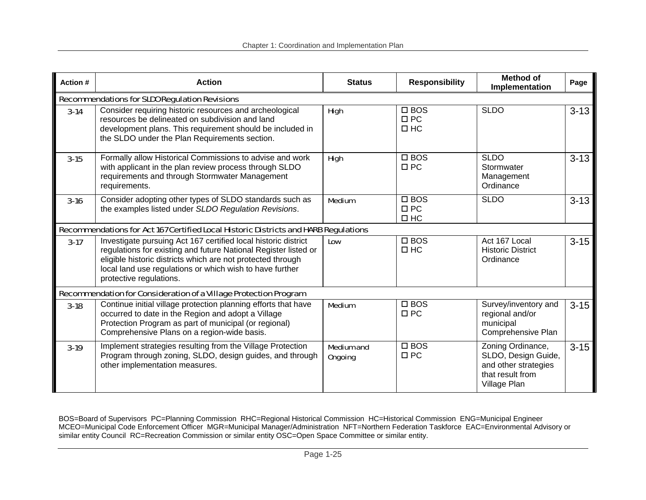| Action # | <b>Action</b>                                                                                                                                                                                                                                                                           | <b>Status</b>                       | <b>Responsibility</b>                         | <b>Method of</b><br>Implementation                                                                   | Page     |
|----------|-----------------------------------------------------------------------------------------------------------------------------------------------------------------------------------------------------------------------------------------------------------------------------------------|-------------------------------------|-----------------------------------------------|------------------------------------------------------------------------------------------------------|----------|
|          | <b>Recommendations for SLDO Regulation Revisions</b>                                                                                                                                                                                                                                    |                                     |                                               |                                                                                                      |          |
| $3-14$   | Consider requiring historic resources and archeological<br>resources be delineated on subdivision and land<br>development plans. This requirement should be included in<br>the SLDO under the Plan Requirements section.                                                                | <b>High</b>                         | $\square$ BOS<br>$\Box$ PC<br>$\square$ HC    | <b>SLDO</b>                                                                                          | $3 - 13$ |
| $3 - 15$ | Formally allow Historical Commissions to advise and work<br>with applicant in the plan review process through SLDO<br>requirements and through Stormwater Management<br>requirements.                                                                                                   | <b>High</b>                         | $\square$ BOS<br>$\Box$ PC                    | <b>SLDO</b><br>Stormwater<br>Management<br>Ordinance                                                 | $3 - 13$ |
| $3 - 16$ | Consider adopting other types of SLDO standards such as<br>the examples listed under SLDO Regulation Revisions.                                                                                                                                                                         | <b>Medium</b>                       | $\square$ BOS<br>$\square$ PC<br>$\square$ HC | <b>SLDO</b>                                                                                          | $3 - 13$ |
|          | Recommendations for Act 167 Certified Local Historic Districts and HARB Regulations                                                                                                                                                                                                     |                                     |                                               |                                                                                                      |          |
| $3-17$   | Investigate pursuing Act 167 certified local historic district<br>regulations for existing and future National Register listed or<br>eligible historic districts which are not protected through<br>local land use regulations or which wish to have further<br>protective regulations. | Low                                 | $\square$ BOS<br>$\square$ HC                 | Act 167 Local<br><b>Historic District</b><br>Ordinance                                               | $3 - 15$ |
|          | Recommendation for Consideration of a Village Protection Program                                                                                                                                                                                                                        |                                     |                                               |                                                                                                      |          |
| $3 - 18$ | Continue initial village protection planning efforts that have<br>occurred to date in the Region and adopt a Village<br>Protection Program as part of municipal (or regional)<br>Comprehensive Plans on a region-wide basis.                                                            | <b>Medium</b>                       | $\square$ BOS<br>$\Box$ PC                    | Survey/inventory and<br>regional and/or<br>municipal<br>Comprehensive Plan                           | $3 - 15$ |
| $3-19$   | Implement strategies resulting from the Village Protection<br>Program through zoning, SLDO, design guides, and through<br>other implementation measures.                                                                                                                                | <b>Medium and</b><br><b>Ongoing</b> | $\Box$ BOS<br>$\square$ PC                    | Zoning Ordinance,<br>SLDO, Design Guide,<br>and other strategies<br>that result from<br>Village Plan | $3 - 15$ |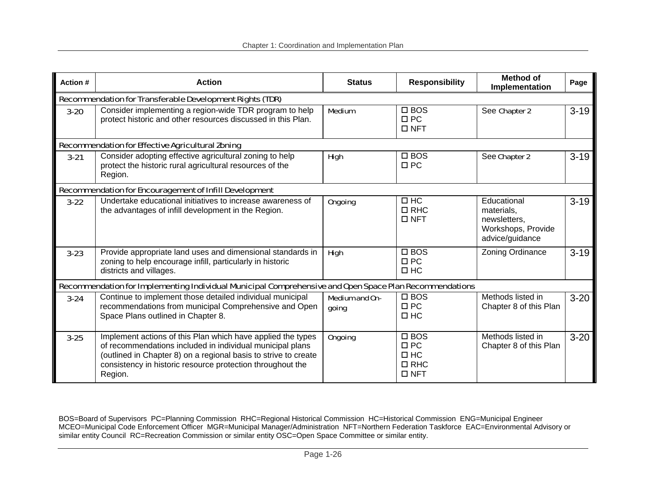| Action # | <b>Action</b>                                                                                                                                                                                                                                                        | <b>Status</b>                  | <b>Responsibility</b>                                               | <b>Method of</b><br>Implementation                                                 | Page     |  |  |  |  |
|----------|----------------------------------------------------------------------------------------------------------------------------------------------------------------------------------------------------------------------------------------------------------------------|--------------------------------|---------------------------------------------------------------------|------------------------------------------------------------------------------------|----------|--|--|--|--|
|          | <b>Recommendation for Transferable Development Rights (TDR)</b>                                                                                                                                                                                                      |                                |                                                                     |                                                                                    |          |  |  |  |  |
| $3 - 20$ | Consider implementing a region-wide TDR program to help<br>protect historic and other resources discussed in this Plan.                                                                                                                                              | <b>Medium</b>                  | $\square$ BOS<br>$\Box$ PC<br>$\Box$ NFT                            | See Chapter 2                                                                      | $3 - 19$ |  |  |  |  |
|          | <b>Recommendation for Effective Agricultural Zoning</b>                                                                                                                                                                                                              |                                |                                                                     |                                                                                    |          |  |  |  |  |
| $3 - 21$ | Consider adopting effective agricultural zoning to help<br>protect the historic rural agricultural resources of the<br>Region.                                                                                                                                       | <b>High</b>                    | $\square$ BOS<br>$\Box$ PC                                          | See Chapter 2                                                                      | $3 - 19$ |  |  |  |  |
|          | <b>Recommendation for Encouragement of Infill Development</b>                                                                                                                                                                                                        |                                |                                                                     |                                                                                    |          |  |  |  |  |
| $3 - 22$ | Undertake educational initiatives to increase awareness of<br>the advantages of infill development in the Region.                                                                                                                                                    | <b>Ongoing</b>                 | $\Box$ HC<br>$\Box$ RHC<br>$\Box$ NFT                               | Educational<br>materials,<br>newsletters,<br>Workshops, Provide<br>advice/guidance | $3 - 19$ |  |  |  |  |
| $3 - 23$ | Provide appropriate land uses and dimensional standards in<br>zoning to help encourage infill, particularly in historic<br>districts and villages.                                                                                                                   | <b>High</b>                    | $\square$ BOS<br>$\Box$ PC<br>$\Box$ HC                             | Zoning Ordinance                                                                   | $3 - 19$ |  |  |  |  |
|          | Recommendation for Implementing Individual Municipal Comprehensive and Open Space Plan Recommendations                                                                                                                                                               |                                |                                                                     |                                                                                    |          |  |  |  |  |
| $3 - 24$ | Continue to implement those detailed individual municipal<br>recommendations from municipal Comprehensive and Open<br>Space Plans outlined in Chapter 8.                                                                                                             | <b>Medium and On-</b><br>going | $\square$ BOS<br>$\Box$ PC<br>$\Box$ HC                             | Methods listed in<br>Chapter 8 of this Plan                                        | $3 - 20$ |  |  |  |  |
| $3 - 25$ | Implement actions of this Plan which have applied the types<br>of recommendations included in individual municipal plans<br>(outlined in Chapter 8) on a regional basis to strive to create<br>consistency in historic resource protection throughout the<br>Region. | <b>Ongoing</b>                 | $\square$ BOS<br>$\Box$ PC<br>$\Box$ HC<br>$\Box$ RHC<br>$\Box$ NFT | Methods listed in<br>Chapter 8 of this Plan                                        | $3 - 20$ |  |  |  |  |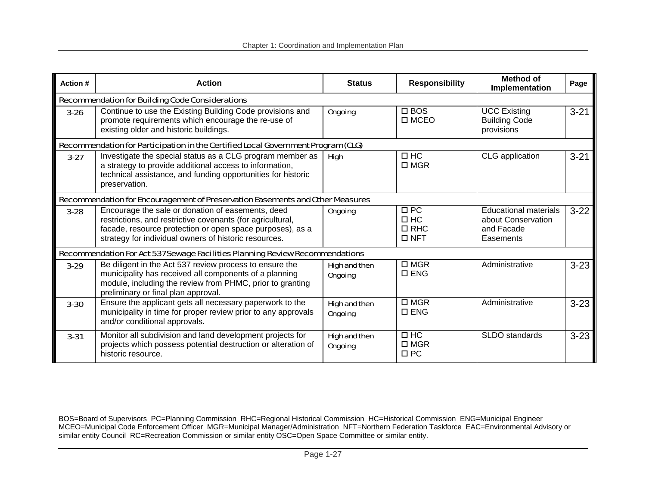| Action # | <b>Action</b>                                                                                                                                                                                                                         | <b>Status</b>                          | <b>Responsibility</b>                              | <b>Method of</b><br>Implementation                                            | Page     |  |  |  |
|----------|---------------------------------------------------------------------------------------------------------------------------------------------------------------------------------------------------------------------------------------|----------------------------------------|----------------------------------------------------|-------------------------------------------------------------------------------|----------|--|--|--|
|          | <b>Recommendation for Building Code Considerations</b>                                                                                                                                                                                |                                        |                                                    |                                                                               |          |  |  |  |
| $3 - 26$ | Continue to use the Existing Building Code provisions and<br>promote requirements which encourage the re-use of<br>existing older and historic buildings.                                                                             | <b>Ongoing</b>                         | $\Box$ BOS<br>$\square$ MCEO                       | <b>UCC Existing</b><br><b>Building Code</b><br>provisions                     | $3 - 21$ |  |  |  |
|          | Recommendation for Participation in the Certified Local Government Program (CLG)                                                                                                                                                      |                                        |                                                    |                                                                               |          |  |  |  |
| $3-27$   | Investigate the special status as a CLG program member as<br>a strategy to provide additional access to information,<br>technical assistance, and funding opportunities for historic<br>preservation.                                 | <b>High</b>                            | $\Box$ HC<br>$\square$ MGR                         | CLG application                                                               | $3 - 21$ |  |  |  |
|          | Recommendation for Encouragement of Preservation Easements and Other Measures                                                                                                                                                         |                                        |                                                    |                                                                               |          |  |  |  |
| $3 - 28$ | Encourage the sale or donation of easements, deed<br>restrictions, and restrictive covenants (for agricultural,<br>facade, resource protection or open space purposes), as a<br>strategy for individual owners of historic resources. | <b>Ongoing</b>                         | $\Box$ PC<br>$\Box$ HC<br>$\Box$ RHC<br>$\Box$ NFT | <b>Educational materials</b><br>about Conservation<br>and Facade<br>Easements | $3-22$   |  |  |  |
|          | Recommendation For Act 537 Sewage Facilities Planning Review Recommendations                                                                                                                                                          |                                        |                                                    |                                                                               |          |  |  |  |
| $3-29$   | Be diligent in the Act 537 review process to ensure the<br>municipality has received all components of a planning<br>module, including the review from PHMC, prior to granting<br>preliminary or final plan approval.                 | <b>High and then</b><br><b>Ongoing</b> | $\Box$ MGR<br>$\square$ ENG                        | Administrative                                                                | $3 - 23$ |  |  |  |
| $3 - 30$ | Ensure the applicant gets all necessary paperwork to the<br>municipality in time for proper review prior to any approvals<br>and/or conditional approvals.                                                                            | <b>High and then</b><br><b>Ongoing</b> | $\square$ MGR<br>$\square$ ENG                     | Administrative                                                                | $3 - 23$ |  |  |  |
| $3 - 31$ | Monitor all subdivision and land development projects for<br>projects which possess potential destruction or alteration of<br>historic resource.                                                                                      | <b>High and then</b><br><b>Ongoing</b> | $\Box$ HC<br>$\square$ MGR<br>$\Box$ PC            | SLDO standards                                                                | $3 - 23$ |  |  |  |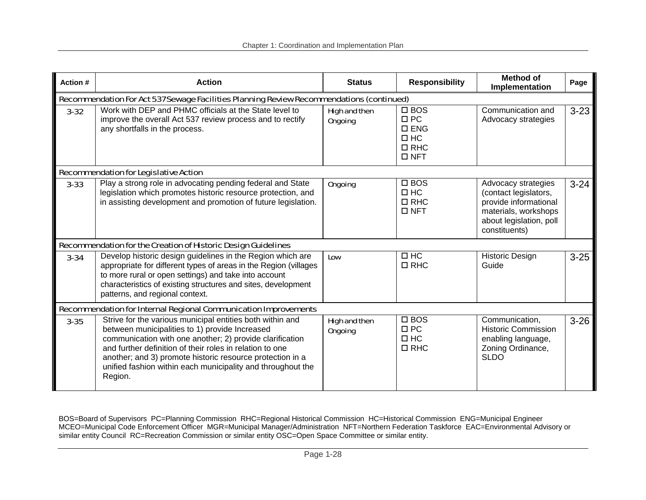| <b>Action#</b> | <b>Action</b>                                                                                                                                                                                                                                                                                                                                                              | <b>Status</b>                          | <b>Responsibility</b>                                                                   | <b>Method of</b><br>Implementation                                                                                                        | Page     |
|----------------|----------------------------------------------------------------------------------------------------------------------------------------------------------------------------------------------------------------------------------------------------------------------------------------------------------------------------------------------------------------------------|----------------------------------------|-----------------------------------------------------------------------------------------|-------------------------------------------------------------------------------------------------------------------------------------------|----------|
|                | Recommendation For Act 537 Sewage Facilities Planning Review Recommendations (continued)                                                                                                                                                                                                                                                                                   |                                        |                                                                                         |                                                                                                                                           |          |
| $3 - 32$       | Work with DEP and PHMC officials at the State level to<br>improve the overall Act 537 review process and to rectify<br>any shortfalls in the process.                                                                                                                                                                                                                      | <b>High and then</b><br><b>Ongoing</b> | $\square$ BOS<br>$\Box$ PC<br>$\square$ ENG<br>$\Box$ HC<br>$\Box$ RHC<br>$\square$ NFT | Communication and<br>Advocacy strategies                                                                                                  | $3 - 23$ |
|                | <b>Recommendation for Legislative Action</b>                                                                                                                                                                                                                                                                                                                               |                                        |                                                                                         |                                                                                                                                           |          |
| $3 - 33$       | Play a strong role in advocating pending federal and State<br>legislation which promotes historic resource protection, and<br>in assisting development and promotion of future legislation.                                                                                                                                                                                | <b>Ongoing</b>                         | $\square$ BOS<br>$\Box$ HC<br>$\Box$ RHC<br>$\Box$ NFT                                  | Advocacy strategies<br>(contact legislators,<br>provide informational<br>materials, workshops<br>about legislation, poll<br>constituents) | $3 - 24$ |
|                | <b>Recommendation for the Creation of Historic Design Guidelines</b>                                                                                                                                                                                                                                                                                                       |                                        |                                                                                         |                                                                                                                                           |          |
| $3 - 34$       | Develop historic design guidelines in the Region which are<br>appropriate for different types of areas in the Region (villages<br>to more rural or open settings) and take into account<br>characteristics of existing structures and sites, development<br>patterns, and regional context.                                                                                | Low                                    | $\Box$ HC<br>$\Box$ RHC                                                                 | <b>Historic Design</b><br>Guide                                                                                                           | $3 - 25$ |
|                | <b>Recommendation for Internal Regional Communication Improvements</b>                                                                                                                                                                                                                                                                                                     |                                        |                                                                                         |                                                                                                                                           |          |
| $3 - 35$       | Strive for the various municipal entities both within and<br>between municipalities to 1) provide Increased<br>communication with one another; 2) provide clarification<br>and further definition of their roles in relation to one<br>another; and 3) promote historic resource protection in a<br>unified fashion within each municipality and throughout the<br>Region. | <b>High and then</b><br><b>Ongoing</b> | $\square$ BOS<br>$\Box$ PC<br>$\Box$ HC<br>$\Box$ RHC                                   | Communication,<br><b>Historic Commission</b><br>enabling language,<br>Zoning Ordinance,<br><b>SLDO</b>                                    | $3 - 26$ |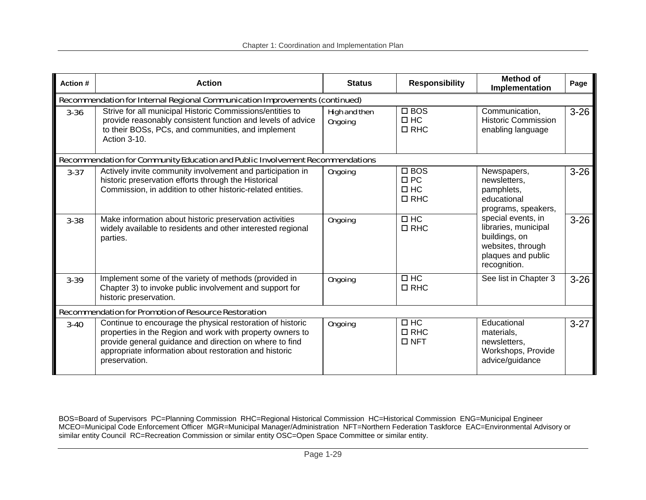| Action # | <b>Action</b>                                                                                                                                                                                                                                                 | <b>Status</b>                          | <b>Responsibility</b>                                 | Method of<br>Implementation                                                                                            | Page     |  |  |  |  |
|----------|---------------------------------------------------------------------------------------------------------------------------------------------------------------------------------------------------------------------------------------------------------------|----------------------------------------|-------------------------------------------------------|------------------------------------------------------------------------------------------------------------------------|----------|--|--|--|--|
|          | Recommendation for Internal Regional Communication Improvements (continued)                                                                                                                                                                                   |                                        |                                                       |                                                                                                                        |          |  |  |  |  |
| $3 - 36$ | Strive for all municipal Historic Commissions/entities to<br>provide reasonably consistent function and levels of advice<br>to their BOSs, PCs, and communities, and implement<br>Action 3-10.                                                                | <b>High and then</b><br><b>Ongoing</b> | $\square$ BOS<br>$\Box$ HC<br>$\Box$ RHC              | Communication,<br><b>Historic Commission</b><br>enabling language                                                      | $3 - 26$ |  |  |  |  |
|          | Recommendation for Community Education and Public Involvement Recommendations                                                                                                                                                                                 |                                        |                                                       |                                                                                                                        |          |  |  |  |  |
| $3 - 37$ | Actively invite community involvement and participation in<br>historic preservation efforts through the Historical<br>Commission, in addition to other historic-related entities.                                                                             | <b>Ongoing</b>                         | $\square$ BOS<br>$\Box$ PC<br>$\Box$ HC<br>$\Box$ RHC | Newspapers,<br>newsletters,<br>pamphlets,<br>educational<br>programs, speakers,                                        | $3 - 26$ |  |  |  |  |
| $3 - 38$ | Make information about historic preservation activities<br>widely available to residents and other interested regional<br>parties.                                                                                                                            | <b>Ongoing</b>                         | $\Box$ HC<br>$\Box$ RHC                               | special events, in<br>libraries, municipal<br>buildings, on<br>websites, through<br>plaques and public<br>recognition. | $3 - 26$ |  |  |  |  |
| $3 - 39$ | Implement some of the variety of methods (provided in<br>Chapter 3) to invoke public involvement and support for<br>historic preservation.                                                                                                                    | <b>Ongoing</b>                         | $\Box$ HC<br>$\Box$ RHC                               | See list in Chapter 3                                                                                                  | $3 - 26$ |  |  |  |  |
|          | <b>Recommendation for Promotion of Resource Restoration</b>                                                                                                                                                                                                   |                                        |                                                       |                                                                                                                        |          |  |  |  |  |
| $3 - 40$ | Continue to encourage the physical restoration of historic<br>properties in the Region and work with property owners to<br>provide general guidance and direction on where to find<br>appropriate information about restoration and historic<br>preservation. | <b>Ongoing</b>                         | $\Box$ HC<br>$\Box$ RHC<br>$\Box$ NFT                 | Educational<br>materials.<br>newsletters,<br>Workshops, Provide<br>advice/guidance                                     | $3-27$   |  |  |  |  |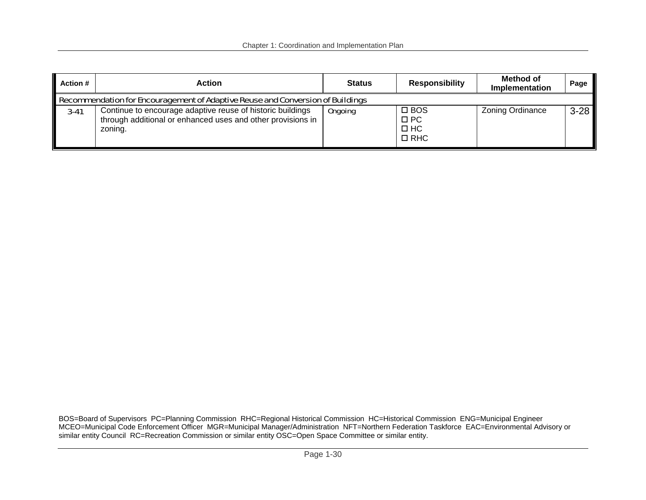| <b>Action #</b> | Action                                                                                                                               | <b>Status</b>  | <b>Responsibility</b>                                    | Method of<br>Implementation | Page   |  |  |  |
|-----------------|--------------------------------------------------------------------------------------------------------------------------------------|----------------|----------------------------------------------------------|-----------------------------|--------|--|--|--|
|                 | Recommendation for Encouragement of Adaptive Reuse and Conversion of Buildings                                                       |                |                                                          |                             |        |  |  |  |
| $3 - 41$        | Continue to encourage adaptive reuse of historic buildings<br>through additional or enhanced uses and other provisions in<br>zoning. | <b>Ongoing</b> | $\square$ BOS<br>$\square$ PC<br>$\Box$ HC<br>$\Box$ RHC | Zoning Ordinance            | $3-28$ |  |  |  |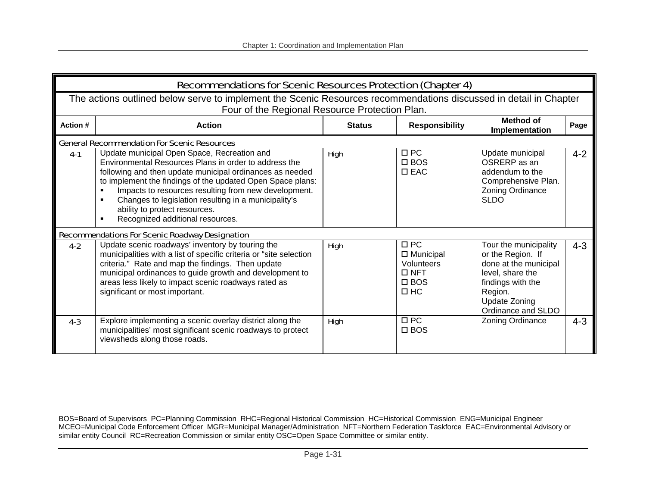|                 | <b>Recommendations for Scenic Resources Protection (Chapter 4)</b>                                                                                                                                                                                                                                                                                                                                                  |               |                                                                                                |                                                                                                                                                                       |         |  |  |  |
|-----------------|---------------------------------------------------------------------------------------------------------------------------------------------------------------------------------------------------------------------------------------------------------------------------------------------------------------------------------------------------------------------------------------------------------------------|---------------|------------------------------------------------------------------------------------------------|-----------------------------------------------------------------------------------------------------------------------------------------------------------------------|---------|--|--|--|
|                 | The actions outlined below serve to implement the Scenic Resources recommendations discussed in detail in Chapter<br>Four of the Regional Resource Protection Plan.                                                                                                                                                                                                                                                 |               |                                                                                                |                                                                                                                                                                       |         |  |  |  |
| <b>Action #</b> | <b>Action</b>                                                                                                                                                                                                                                                                                                                                                                                                       | <b>Status</b> | <b>Responsibility</b>                                                                          | Method of<br>Implementation                                                                                                                                           | Page    |  |  |  |
|                 | <b>General Recommendation For Scenic Resources</b>                                                                                                                                                                                                                                                                                                                                                                  |               |                                                                                                |                                                                                                                                                                       |         |  |  |  |
| $4-1$           | Update municipal Open Space, Recreation and<br>Environmental Resources Plans in order to address the<br>following and then update municipal ordinances as needed<br>to implement the findings of the updated Open Space plans:<br>Impacts to resources resulting from new development.<br>Changes to legislation resulting in a municipality's<br>ability to protect resources.<br>Recognized additional resources. | <b>High</b>   | $\Box$ PC<br>$\square$ BOS<br>$\Box$ EAC                                                       | Update municipal<br>OSRERP as an<br>addendum to the<br>Comprehensive Plan.<br>Zoning Ordinance<br><b>SLDO</b>                                                         | $4 - 2$ |  |  |  |
|                 | <b>Recommendations For Scenic Roadway Designation</b>                                                                                                                                                                                                                                                                                                                                                               |               |                                                                                                |                                                                                                                                                                       |         |  |  |  |
| $4 - 2$         | Update scenic roadways' inventory by touring the<br>municipalities with a list of specific criteria or "site selection<br>criteria." Rate and map the findings. Then update<br>municipal ordinances to guide growth and development to<br>areas less likely to impact scenic roadways rated as<br>significant or most important.                                                                                    | <b>High</b>   | $\Box$ PC<br>$\Box$ Municipal<br><b>Volunteers</b><br>$\Box$ NFT<br>$\square$ BOS<br>$\Box$ HC | Tour the municipality<br>or the Region. If<br>done at the municipal<br>level, share the<br>findings with the<br>Region.<br><b>Update Zoning</b><br>Ordinance and SLDO | $4 - 3$ |  |  |  |
| $4 - 3$         | Explore implementing a scenic overlay district along the<br>municipalities' most significant scenic roadways to protect<br>viewsheds along those roads.                                                                                                                                                                                                                                                             | <b>High</b>   | $\Box$ PC<br>$\square$ BOS                                                                     | Zoning Ordinance                                                                                                                                                      | $4 - 3$ |  |  |  |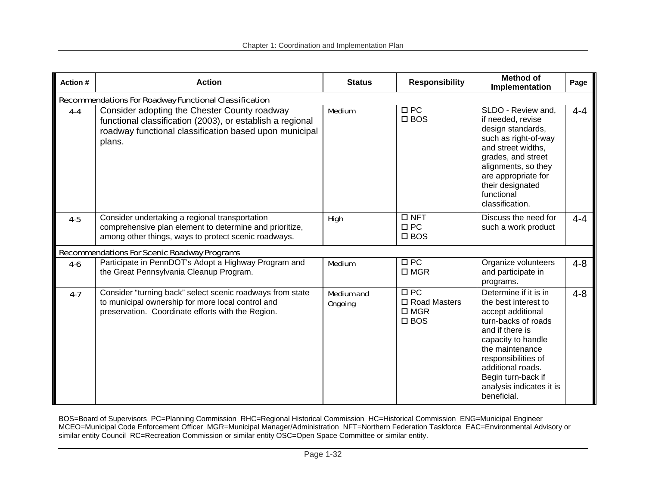| Action # | <b>Action</b>                                                                                                                                                                 | <b>Status</b>                       | <b>Responsibility</b>                                                 | <b>Method of</b><br>Implementation                                                                                                                                                                                                                                 | Page    |
|----------|-------------------------------------------------------------------------------------------------------------------------------------------------------------------------------|-------------------------------------|-----------------------------------------------------------------------|--------------------------------------------------------------------------------------------------------------------------------------------------------------------------------------------------------------------------------------------------------------------|---------|
|          | <b>Recommendations For Roadway Functional Classification</b>                                                                                                                  |                                     |                                                                       |                                                                                                                                                                                                                                                                    |         |
| $4 - 4$  | Consider adopting the Chester County roadway<br>functional classification (2003), or establish a regional<br>roadway functional classification based upon municipal<br>plans. | <b>Medium</b>                       | $\Box$ PC<br>$\square$ BOS                                            | SLDO - Review and.<br>if needed, revise<br>design standards,<br>such as right-of-way<br>and street widths.<br>grades, and street<br>alignments, so they<br>are appropriate for<br>their designated<br>functional<br>classification.                                | $4 - 4$ |
| $4 - 5$  | Consider undertaking a regional transportation<br>comprehensive plan element to determine and prioritize,<br>among other things, ways to protect scenic roadways.             | <b>High</b>                         | $\Box$ NFT<br>$\Box$ PC<br>$\square$ BOS                              | Discuss the need for<br>such a work product                                                                                                                                                                                                                        | $4 - 4$ |
|          | <b>Recommendations For Scenic Roadway Programs</b>                                                                                                                            |                                     |                                                                       |                                                                                                                                                                                                                                                                    |         |
| $4 - 6$  | Participate in PennDOT's Adopt a Highway Program and<br>the Great Pennsylvania Cleanup Program.                                                                               | <b>Medium</b>                       | $\Box$ PC<br>$\square$ MGR                                            | Organize volunteers<br>and participate in<br>programs.                                                                                                                                                                                                             | $4 - 8$ |
| $4 - 7$  | Consider "turning back" select scenic roadways from state<br>to municipal ownership for more local control and<br>preservation. Coordinate efforts with the Region.           | <b>Medium and</b><br><b>Ongoing</b> | $\Box$ PC<br>$\square$ Road Masters<br>$\square$ MGR<br>$\square$ BOS | Determine if it is in<br>the best interest to<br>accept additional<br>turn-backs of roads<br>and if there is<br>capacity to handle<br>the maintenance<br>responsibilities of<br>additional roads.<br>Begin turn-back if<br>analysis indicates it is<br>beneficial. | $4 - 8$ |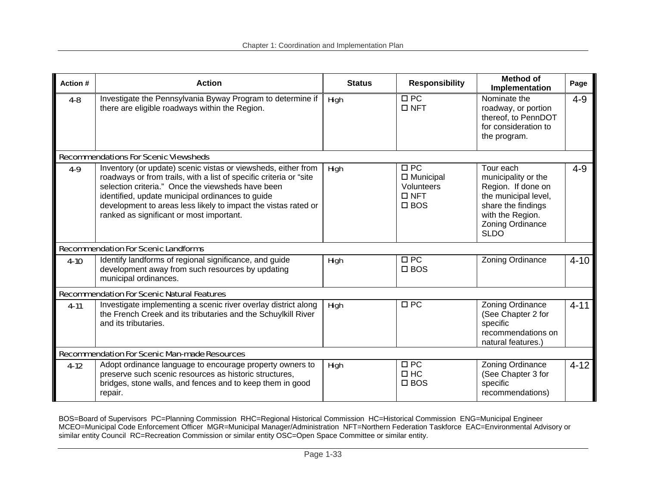| Action # | <b>Action</b>                                                                                                                                                                                                                                                                                                                                              | <b>Status</b> | <b>Responsibility</b>                                                      | <b>Method of</b><br>Implementation                                                                                                                          | Page     |
|----------|------------------------------------------------------------------------------------------------------------------------------------------------------------------------------------------------------------------------------------------------------------------------------------------------------------------------------------------------------------|---------------|----------------------------------------------------------------------------|-------------------------------------------------------------------------------------------------------------------------------------------------------------|----------|
| $4 - 8$  | Investigate the Pennsylvania Byway Program to determine if<br>there are eligible roadways within the Region.                                                                                                                                                                                                                                               | <b>High</b>   | $\Box$ PC<br>$\square$ NFT                                                 | Nominate the<br>roadway, or portion<br>thereof, to PennDOT<br>for consideration to<br>the program.                                                          | $4 - 9$  |
|          | <b>Recommendations For Scenic Viewsheds</b>                                                                                                                                                                                                                                                                                                                |               |                                                                            |                                                                                                                                                             |          |
| $4-9$    | Inventory (or update) scenic vistas or viewsheds, either from<br>roadways or from trails, with a list of specific criteria or "site<br>selection criteria." Once the viewsheds have been<br>identified, update municipal ordinances to guide<br>development to areas less likely to impact the vistas rated or<br>ranked as significant or most important. | <b>High</b>   | $\Box$ PC<br>$\Box$ Municipal<br>Volunteers<br>$\Box$ NFT<br>$\square$ BOS | Tour each<br>municipality or the<br>Region. If done on<br>the municipal level,<br>share the findings<br>with the Region.<br>Zoning Ordinance<br><b>SLDO</b> | $4 - 9$  |
|          | <b>Recommendation For Scenic Landforms</b>                                                                                                                                                                                                                                                                                                                 |               |                                                                            |                                                                                                                                                             |          |
| $4-10$   | Identify landforms of regional significance, and guide<br>development away from such resources by updating<br>municipal ordinances.                                                                                                                                                                                                                        | <b>High</b>   | $\Box$ PC<br>$\square$ BOS                                                 | Zoning Ordinance                                                                                                                                            | $4 - 10$ |
|          | <b>Recommendation For Scenic Natural Features</b>                                                                                                                                                                                                                                                                                                          |               |                                                                            |                                                                                                                                                             |          |
| $4-11$   | Investigate implementing a scenic river overlay district along<br>the French Creek and its tributaries and the Schuylkill River<br>and its tributaries.                                                                                                                                                                                                    | <b>High</b>   | $\Box$ PC                                                                  | Zoning Ordinance<br>(See Chapter 2 for<br>specific<br>recommendations on<br>natural features.)                                                              | $4 - 11$ |
|          | <b>Recommendation For Scenic Man-made Resources</b>                                                                                                                                                                                                                                                                                                        |               |                                                                            |                                                                                                                                                             |          |
| $4-12$   | Adopt ordinance language to encourage property owners to<br>preserve such scenic resources as historic structures,<br>bridges, stone walls, and fences and to keep them in good<br>repair.                                                                                                                                                                 | <b>High</b>   | $\Box$ PC<br>$\Box$ HC<br>$\square$ BOS                                    | Zoning Ordinance<br>(See Chapter 3 for<br>specific<br>recommendations)                                                                                      | $4 - 12$ |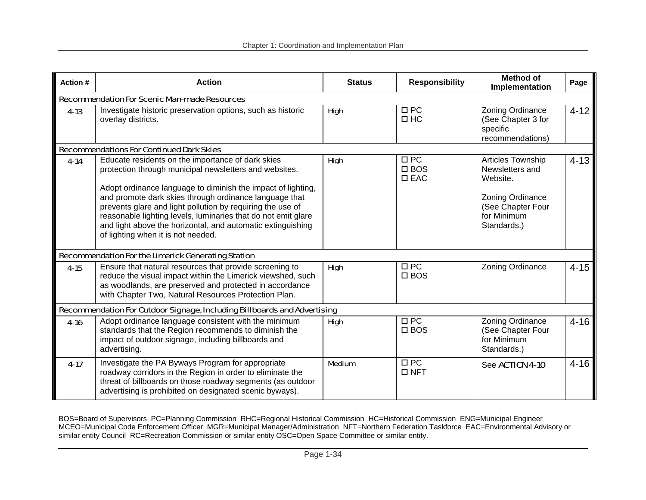| <b>Action#</b> | <b>Action</b>                                                                                                                                                                                                                                                                                                                                                                                                                                                             | <b>Status</b> | <b>Responsibility</b>                       | <b>Method of</b><br>Implementation                                                                                      | Page     |  |  |  |
|----------------|---------------------------------------------------------------------------------------------------------------------------------------------------------------------------------------------------------------------------------------------------------------------------------------------------------------------------------------------------------------------------------------------------------------------------------------------------------------------------|---------------|---------------------------------------------|-------------------------------------------------------------------------------------------------------------------------|----------|--|--|--|
|                | <b>Recommendation For Scenic Man-made Resources</b>                                                                                                                                                                                                                                                                                                                                                                                                                       |               |                                             |                                                                                                                         |          |  |  |  |
| $4 - 13$       | Investigate historic preservation options, such as historic<br>overlay districts.                                                                                                                                                                                                                                                                                                                                                                                         | <b>High</b>   | $\Box$ PC<br>$\Box$ HC                      | Zoning Ordinance<br>(See Chapter 3 for<br>specific<br>recommendations)                                                  | $4 - 12$ |  |  |  |
|                | <b>Recommendations For Continued Dark Skies</b>                                                                                                                                                                                                                                                                                                                                                                                                                           |               |                                             |                                                                                                                         |          |  |  |  |
| $4 - 14$       | Educate residents on the importance of dark skies<br>protection through municipal newsletters and websites.<br>Adopt ordinance language to diminish the impact of lighting,<br>and promote dark skies through ordinance language that<br>prevents glare and light pollution by requiring the use of<br>reasonable lighting levels, luminaries that do not emit glare<br>and light above the horizontal, and automatic extinguishing<br>of lighting when it is not needed. | <b>High</b>   | $\Box$ PC<br>$\square$ BOS<br>$\square$ EAC | Articles Township<br>Newsletters and<br>Website.<br>Zoning Ordinance<br>(See Chapter Four<br>for Minimum<br>Standards.) | $4 - 13$ |  |  |  |
|                | <b>Recommendation For the Limerick Generating Station</b>                                                                                                                                                                                                                                                                                                                                                                                                                 |               |                                             |                                                                                                                         |          |  |  |  |
| $4 - 15$       | Ensure that natural resources that provide screening to<br>reduce the visual impact within the Limerick viewshed, such<br>as woodlands, are preserved and protected in accordance<br>with Chapter Two, Natural Resources Protection Plan.                                                                                                                                                                                                                                 | <b>High</b>   | $\Box$ PC<br>$\square$ BOS                  | Zoning Ordinance                                                                                                        | $4 - 15$ |  |  |  |
|                | Recommendation For Outdoor Signage, Including Billboards and Advertising                                                                                                                                                                                                                                                                                                                                                                                                  |               |                                             |                                                                                                                         |          |  |  |  |
| $4 - 16$       | Adopt ordinance language consistent with the minimum<br>standards that the Region recommends to diminish the<br>impact of outdoor signage, including billboards and<br>advertising.                                                                                                                                                                                                                                                                                       | <b>High</b>   | $\Box$ PC<br>$\square$ BOS                  | Zoning Ordinance<br>(See Chapter Four<br>for Minimum<br>Standards.)                                                     | $4 - 16$ |  |  |  |
| $4 - 17$       | Investigate the PA Byways Program for appropriate<br>roadway corridors in the Region in order to eliminate the<br>threat of billboards on those roadway segments (as outdoor<br>advertising is prohibited on designated scenic byways).                                                                                                                                                                                                                                   | <b>Medium</b> | $\Box$ PC<br>$\Box$ NFT                     | See ACTION 4-10                                                                                                         | $4 - 16$ |  |  |  |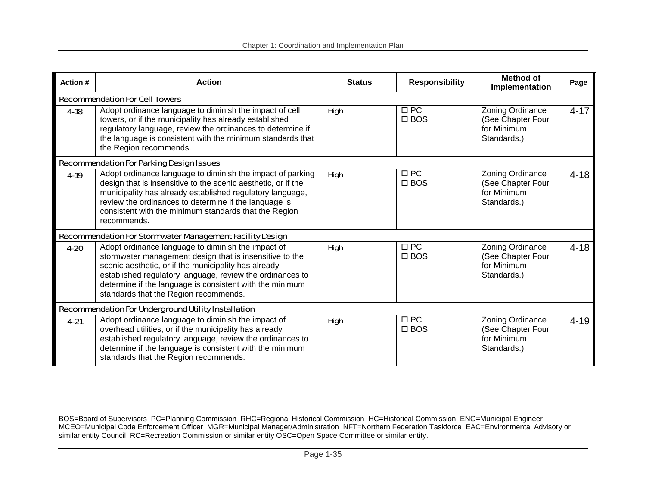| Action # | <b>Action</b>                                                                                                                                                                                                                                                                                                                           | <b>Status</b> | <b>Responsibility</b>      | <b>Method of</b><br>Implementation                                  | Page     |
|----------|-----------------------------------------------------------------------------------------------------------------------------------------------------------------------------------------------------------------------------------------------------------------------------------------------------------------------------------------|---------------|----------------------------|---------------------------------------------------------------------|----------|
|          | <b>Recommendation For Cell Towers</b>                                                                                                                                                                                                                                                                                                   |               |                            |                                                                     |          |
| $4 - 18$ | Adopt ordinance language to diminish the impact of cell<br>towers, or if the municipality has already established<br>regulatory language, review the ordinances to determine if<br>the language is consistent with the minimum standards that<br>the Region recommends.                                                                 | <b>High</b>   | $\Box$ PC<br>$\square$ BOS | Zoning Ordinance<br>(See Chapter Four<br>for Minimum<br>Standards.) | $4 - 17$ |
|          | <b>Recommendation For Parking Design Issues</b>                                                                                                                                                                                                                                                                                         |               |                            |                                                                     |          |
| $4-19$   | Adopt ordinance language to diminish the impact of parking<br>design that is insensitive to the scenic aesthetic, or if the<br>municipality has already established regulatory language,<br>review the ordinances to determine if the language is<br>consistent with the minimum standards that the Region<br>recommends.               | <b>High</b>   | $\Box$ PC<br>$\square$ BOS | Zoning Ordinance<br>(See Chapter Four<br>for Minimum<br>Standards.) | $4 - 18$ |
|          | Recommendation For Stormwater Management Facility Design                                                                                                                                                                                                                                                                                |               |                            |                                                                     |          |
| $4 - 20$ | Adopt ordinance language to diminish the impact of<br>stormwater management design that is insensitive to the<br>scenic aesthetic, or if the municipality has already<br>established regulatory language, review the ordinances to<br>determine if the language is consistent with the minimum<br>standards that the Region recommends. | <b>High</b>   | $\Box$ PC<br>$\square$ BOS | Zoning Ordinance<br>(See Chapter Four<br>for Minimum<br>Standards.) | $4 - 18$ |
|          | <b>Recommendation For Underground Utility Installation</b>                                                                                                                                                                                                                                                                              |               |                            |                                                                     |          |
| $4 - 21$ | Adopt ordinance language to diminish the impact of<br>overhead utilities, or if the municipality has already<br>established regulatory language, review the ordinances to<br>determine if the language is consistent with the minimum<br>standards that the Region recommends.                                                          | <b>High</b>   | $\Box$ PC<br>$\square$ BOS | Zoning Ordinance<br>(See Chapter Four<br>for Minimum<br>Standards.) | $4 - 19$ |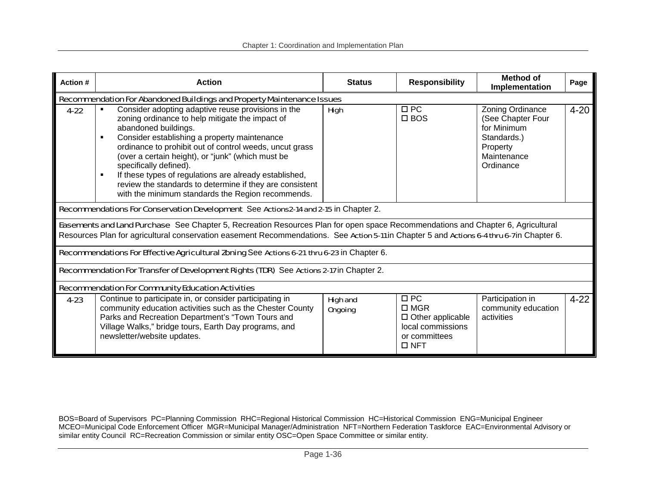| Action # | <b>Action</b>                                                                                                                                                                                                                                                                                                                                                                                                                                                                                                                          | <b>Status</b>                     | <b>Responsibility</b>                                                                                     | <b>Method of</b><br>Implementation                                                                          | Page     |
|----------|----------------------------------------------------------------------------------------------------------------------------------------------------------------------------------------------------------------------------------------------------------------------------------------------------------------------------------------------------------------------------------------------------------------------------------------------------------------------------------------------------------------------------------------|-----------------------------------|-----------------------------------------------------------------------------------------------------------|-------------------------------------------------------------------------------------------------------------|----------|
|          | Recommendation For Abandoned Buildings and Property Maintenance Issues                                                                                                                                                                                                                                                                                                                                                                                                                                                                 |                                   |                                                                                                           |                                                                                                             |          |
| $4 - 22$ | Consider adopting adaptive reuse provisions in the<br>zoning ordinance to help mitigate the impact of<br>abandoned buildings.<br>Consider establishing a property maintenance<br>$\blacksquare$<br>ordinance to prohibit out of control weeds, uncut grass<br>(over a certain height), or "junk" (which must be<br>specifically defined).<br>If these types of regulations are already established,<br>$\blacksquare$<br>review the standards to determine if they are consistent<br>with the minimum standards the Region recommends. | <b>High</b>                       | $\Box$ PC<br>$\square$ BOS                                                                                | Zoning Ordinance<br>(See Chapter Four<br>for Minimum<br>Standards.)<br>Property<br>Maintenance<br>Ordinance | $4 - 20$ |
|          | Recommendations For Conservation Development See Actions 2-14 and 2-15 in Chapter 2.                                                                                                                                                                                                                                                                                                                                                                                                                                                   |                                   |                                                                                                           |                                                                                                             |          |
|          | Easements and Land Purchase See Chapter 5, Recreation Resources Plan for open space Recommendations and Chapter 6, Agricultural<br>Resources Plan for agricultural conservation easement Recommendations. See Action 5-11 in Chapter 5 and Actions 6-4 thru 6-7 in Chapter 6.                                                                                                                                                                                                                                                          |                                   |                                                                                                           |                                                                                                             |          |
|          | Recommendations For Effective Agricultural Zoning See Actions 6-21 thru 6-23 in Chapter 6.                                                                                                                                                                                                                                                                                                                                                                                                                                             |                                   |                                                                                                           |                                                                                                             |          |
|          | Recommendation For Transfer of Development Rights (TDR) See Actions 2-17 in Chapter 2.                                                                                                                                                                                                                                                                                                                                                                                                                                                 |                                   |                                                                                                           |                                                                                                             |          |
|          | <b>Recommendation For Community Education Activities</b>                                                                                                                                                                                                                                                                                                                                                                                                                                                                               |                                   |                                                                                                           |                                                                                                             |          |
| $4 - 23$ | Continue to participate in, or consider participating in<br>community education activities such as the Chester County<br>Parks and Recreation Department's "Town Tours and<br>Village Walks," bridge tours, Earth Day programs, and<br>newsletter/website updates.                                                                                                                                                                                                                                                                     | <b>High and</b><br><b>Ongoing</b> | $\Box$ PC<br>$\square$ MGR<br>$\Box$ Other applicable<br>local commissions<br>or committees<br>$\Box$ NFT | Participation in<br>community education<br>activities                                                       | $4 - 22$ |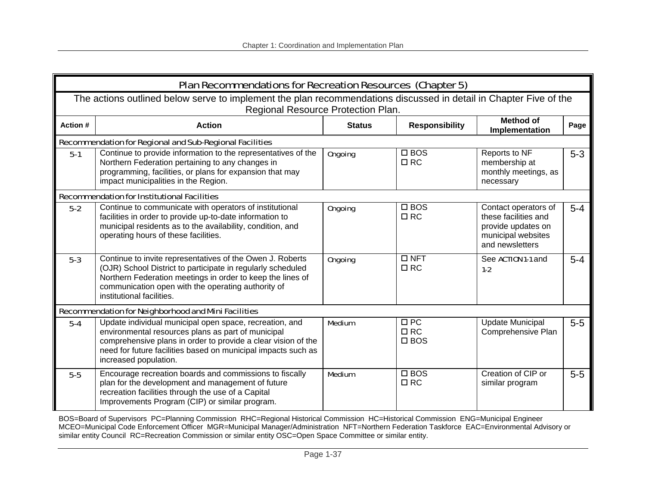|          | Plan Recommendations for Recreation Resources (Chapter 5)                                                                                                                                                                                                                 |                |                                         |                                                                                                             |         |  |  |
|----------|---------------------------------------------------------------------------------------------------------------------------------------------------------------------------------------------------------------------------------------------------------------------------|----------------|-----------------------------------------|-------------------------------------------------------------------------------------------------------------|---------|--|--|
|          | The actions outlined below serve to implement the plan recommendations discussed in detail in Chapter Five of the<br>Regional Resource Protection Plan.                                                                                                                   |                |                                         |                                                                                                             |         |  |  |
| Action # | <b>Action</b>                                                                                                                                                                                                                                                             | <b>Status</b>  | <b>Responsibility</b>                   | <b>Method of</b><br>Implementation                                                                          | Page    |  |  |
|          | <b>Recommendation for Regional and Sub-Regional Facilities</b>                                                                                                                                                                                                            |                |                                         |                                                                                                             |         |  |  |
| $5-1$    | Continue to provide information to the representatives of the<br>Northern Federation pertaining to any changes in<br>programming, facilities, or plans for expansion that may<br>impact municipalities in the Region.                                                     | <b>Ongoing</b> | $\square$ BOS<br>$\Box$ RC              | Reports to NF<br>membership at<br>monthly meetings, as<br>necessary                                         | $5 - 3$ |  |  |
|          | <b>Recommendation for Institutional Facilities</b>                                                                                                                                                                                                                        |                |                                         |                                                                                                             |         |  |  |
| $5-2$    | Continue to communicate with operators of institutional<br>facilities in order to provide up-to-date information to<br>municipal residents as to the availability, condition, and<br>operating hours of these facilities.                                                 | <b>Ongoing</b> | $\square$ BOS<br>$\Box$ RC              | Contact operators of<br>these facilities and<br>provide updates on<br>municipal websites<br>and newsletters | $5-4$   |  |  |
| $5-3$    | Continue to invite representatives of the Owen J. Roberts<br>(OJR) School District to participate in regularly scheduled<br>Northern Federation meetings in order to keep the lines of<br>communication open with the operating authority of<br>institutional facilities. | <b>Ongoing</b> | $\Box$ NFT<br>$\Box$ RC                 | See ACTION 1-1 and<br>$1-2$                                                                                 | $5 - 4$ |  |  |
|          | <b>Recommendation for Neighborhood and Mini Facilities</b>                                                                                                                                                                                                                |                |                                         |                                                                                                             |         |  |  |
| $5-4$    | Update individual municipal open space, recreation, and<br>environmental resources plans as part of municipal<br>comprehensive plans in order to provide a clear vision of the<br>need for future facilities based on municipal impacts such as<br>increased population.  | <b>Medium</b>  | $\Box$ PC<br>$\Box$ RC<br>$\square$ BOS | <b>Update Municipal</b><br>Comprehensive Plan                                                               | $5-5$   |  |  |
| $5-5$    | Encourage recreation boards and commissions to fiscally<br>plan for the development and management of future<br>recreation facilities through the use of a Capital<br>Improvements Program (CIP) or similar program.                                                      | <b>Medium</b>  | $\square$ BOS<br>$\Box$ RC              | Creation of CIP or<br>similar program                                                                       | $5-5$   |  |  |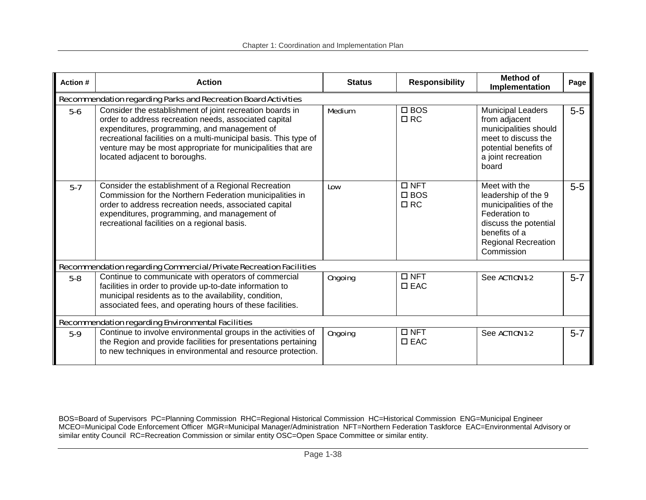| Action # | <b>Action</b>                                                                                                                                                                                                                                                                                                                         | <b>Status</b>  | <b>Responsibility</b>                    | <b>Method of</b><br>Implementation                                                                                                                                   | Page    |
|----------|---------------------------------------------------------------------------------------------------------------------------------------------------------------------------------------------------------------------------------------------------------------------------------------------------------------------------------------|----------------|------------------------------------------|----------------------------------------------------------------------------------------------------------------------------------------------------------------------|---------|
|          | <b>Recommendation regarding Parks and Recreation Board Activities</b>                                                                                                                                                                                                                                                                 |                |                                          |                                                                                                                                                                      |         |
| $5-6$    | Consider the establishment of joint recreation boards in<br>order to address recreation needs, associated capital<br>expenditures, programming, and management of<br>recreational facilities on a multi-municipal basis. This type of<br>venture may be most appropriate for municipalities that are<br>located adjacent to boroughs. | <b>Medium</b>  | $\square$ BOS<br>$\Box$ RC               | <b>Municipal Leaders</b><br>from adjacent<br>municipalities should<br>meet to discuss the<br>potential benefits of<br>a joint recreation<br>board                    | $5-5$   |
| $5-7$    | Consider the establishment of a Regional Recreation<br>Commission for the Northern Federation municipalities in<br>order to address recreation needs, associated capital<br>expenditures, programming, and management of<br>recreational facilities on a regional basis.                                                              | Low            | $\Box$ NFT<br>$\square$ BOS<br>$\Box$ RC | Meet with the<br>leadership of the 9<br>municipalities of the<br>Federation to<br>discuss the potential<br>benefits of a<br><b>Regional Recreation</b><br>Commission | $5-5$   |
|          | Recommendation regarding Commercial/Private Recreation Facilities                                                                                                                                                                                                                                                                     |                |                                          |                                                                                                                                                                      |         |
| $5-8$    | Continue to communicate with operators of commercial<br>facilities in order to provide up-to-date information to<br>municipal residents as to the availability, condition,<br>associated fees, and operating hours of these facilities.                                                                                               | <b>Ongoing</b> | $\square$ NFT<br>$\square$ EAC           | See ACTION 1-2                                                                                                                                                       | $5 - 7$ |
|          | <b>Recommendation regarding Environmental Facilities</b>                                                                                                                                                                                                                                                                              |                |                                          |                                                                                                                                                                      |         |
| $5-9$    | Continue to involve environmental groups in the activities of<br>the Region and provide facilities for presentations pertaining<br>to new techniques in environmental and resource protection.                                                                                                                                        | <b>Ongoing</b> | $\Box$ NFT<br>$\square$ EAC              | See ACTION 1-2                                                                                                                                                       | $5 - 7$ |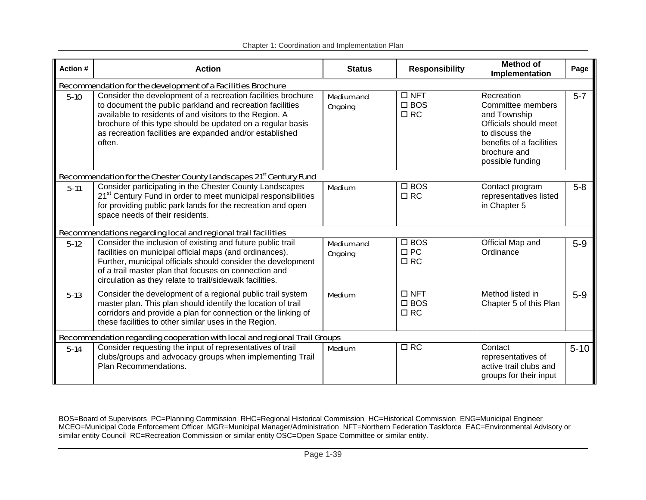|  |  | Chapter 1: Coordination and Implementation Plan |
|--|--|-------------------------------------------------|
|  |  |                                                 |

| Action # | <b>Action</b>                                                                                                                                                                                                                                                                                                            | <b>Status</b>                       | <b>Responsibility</b>                       | <b>Method of</b><br>Implementation                                                                                                                         | Page     |
|----------|--------------------------------------------------------------------------------------------------------------------------------------------------------------------------------------------------------------------------------------------------------------------------------------------------------------------------|-------------------------------------|---------------------------------------------|------------------------------------------------------------------------------------------------------------------------------------------------------------|----------|
|          | Recommendation for the development of a Facilities Brochure                                                                                                                                                                                                                                                              |                                     |                                             |                                                                                                                                                            |          |
| $5-10$   | Consider the development of a recreation facilities brochure<br>to document the public parkland and recreation facilities<br>available to residents of and visitors to the Region. A<br>brochure of this type should be updated on a regular basis<br>as recreation facilities are expanded and/or established<br>often. | <b>Medium and</b><br><b>Ongoing</b> | $\Box$ NFT<br>$\square$ BOS<br>$\Box$ RC    | Recreation<br>Committee members<br>and Township<br>Officials should meet<br>to discuss the<br>benefits of a facilities<br>brochure and<br>possible funding | $5 - 7$  |
|          | Recommendation for the Chester County Landscapes 21 <sup>st</sup> Century Fund                                                                                                                                                                                                                                           |                                     |                                             |                                                                                                                                                            |          |
| $5-11$   | Consider participating in the Chester County Landscapes<br>21 <sup>st</sup> Century Fund in order to meet municipal responsibilities<br>for providing public park lands for the recreation and open<br>space needs of their residents.                                                                                   | <b>Medium</b>                       | $\square$ BOS<br>$\Box$ RC                  | Contact program<br>representatives listed<br>in Chapter 5                                                                                                  | $5-8$    |
|          | Recommendations regarding local and regional trail facilities                                                                                                                                                                                                                                                            |                                     |                                             |                                                                                                                                                            |          |
| $5-12$   | Consider the inclusion of existing and future public trail<br>facilities on municipal official maps (and ordinances).<br>Further, municipal officials should consider the development<br>of a trail master plan that focuses on connection and<br>circulation as they relate to trail/sidewalk facilities.               | <b>Medium and</b><br><b>Ongoing</b> | $\square$ BOS<br>$\Box$ PC<br>$\Box$ RC     | Official Map and<br>Ordinance                                                                                                                              | $5-9$    |
| $5-13$   | Consider the development of a regional public trail system<br>master plan. This plan should identify the location of trail<br>corridors and provide a plan for connection or the linking of<br>these facilities to other similar uses in the Region.                                                                     | <b>Medium</b>                       | $\square$ NFT<br>$\square$ BOS<br>$\Box$ RC | Method listed in<br>Chapter 5 of this Plan                                                                                                                 | $5-9$    |
|          | Recommendation regarding cooperation with local and regional Trail Groups                                                                                                                                                                                                                                                |                                     |                                             |                                                                                                                                                            |          |
| $5-14$   | Consider requesting the input of representatives of trail<br>clubs/groups and advocacy groups when implementing Trail<br>Plan Recommendations.                                                                                                                                                                           | <b>Medium</b>                       | $\Box$ RC                                   | Contact<br>representatives of<br>active trail clubs and<br>groups for their input                                                                          | $5 - 10$ |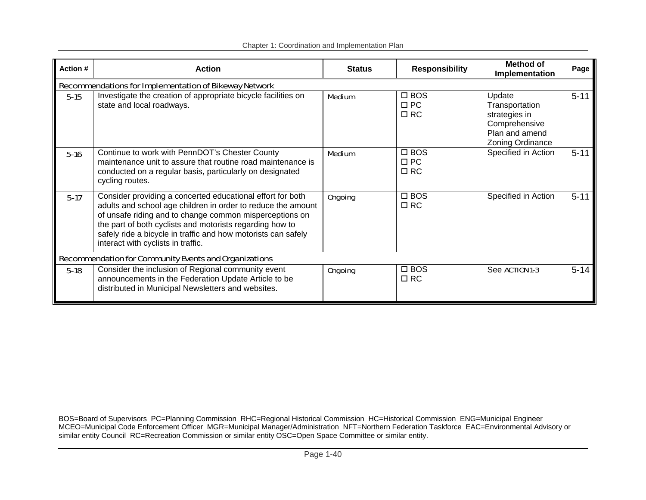| Action # | <b>Action</b>                                                                                                                                                                                                                                                                                                                                            | <b>Status</b>  | <b>Responsibility</b>                   | <b>Method of</b><br>Implementation                                                               | Page     |
|----------|----------------------------------------------------------------------------------------------------------------------------------------------------------------------------------------------------------------------------------------------------------------------------------------------------------------------------------------------------------|----------------|-----------------------------------------|--------------------------------------------------------------------------------------------------|----------|
|          | Recommendations for Implementation of Bikeway Network                                                                                                                                                                                                                                                                                                    |                |                                         |                                                                                                  |          |
| $5-15$   | Investigate the creation of appropriate bicycle facilities on<br>state and local roadways.                                                                                                                                                                                                                                                               | <b>Medium</b>  | $\square$ BOS<br>$\Box$ PC<br>$\Box$ RC | Update<br>Transportation<br>strategies in<br>Comprehensive<br>Plan and amend<br>Zoning Ordinance | $5 - 11$ |
| $5-16$   | Continue to work with PennDOT's Chester County<br>maintenance unit to assure that routine road maintenance is<br>conducted on a regular basis, particularly on designated<br>cycling routes.                                                                                                                                                             | <b>Medium</b>  | $\square$ BOS<br>$\Box$ PC<br>$\Box$ RC | Specified in Action                                                                              | $5 - 11$ |
| $5-17$   | Consider providing a concerted educational effort for both<br>adults and school age children in order to reduce the amount<br>of unsafe riding and to change common misperceptions on<br>the part of both cyclists and motorists regarding how to<br>safely ride a bicycle in traffic and how motorists can safely<br>interact with cyclists in traffic. | <b>Ongoing</b> | $\square$ BOS<br>$\Box$ RC              | Specified in Action                                                                              | $5 - 11$ |
|          | <b>Recommendation for Community Events and Organizations</b>                                                                                                                                                                                                                                                                                             |                |                                         |                                                                                                  |          |
| $5-18$   | Consider the inclusion of Regional community event<br>announcements in the Federation Update Article to be<br>distributed in Municipal Newsletters and websites.                                                                                                                                                                                         | <b>Ongoing</b> | $\square$ BOS<br>$\Box$ RC              | See ACTION 1-3                                                                                   | $5 - 14$ |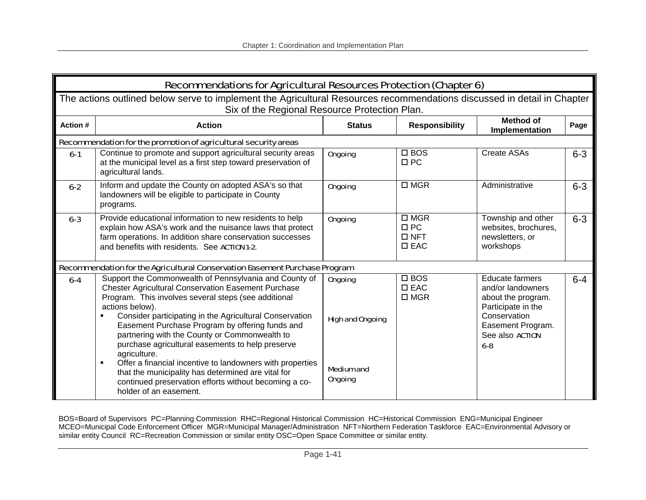|                | <b>Recommendations for Agricultural Resources Protection (Chapter 6)</b>                                                                                                                                                                                                                                                                                                                                           |                                           |                                                           |                                                                                                                                                                   |         |  |  |
|----------------|--------------------------------------------------------------------------------------------------------------------------------------------------------------------------------------------------------------------------------------------------------------------------------------------------------------------------------------------------------------------------------------------------------------------|-------------------------------------------|-----------------------------------------------------------|-------------------------------------------------------------------------------------------------------------------------------------------------------------------|---------|--|--|
|                | The actions outlined below serve to implement the Agricultural Resources recommendations discussed in detail in Chapter<br>Six of the Regional Resource Protection Plan.                                                                                                                                                                                                                                           |                                           |                                                           |                                                                                                                                                                   |         |  |  |
| <b>Action#</b> | <b>Action</b>                                                                                                                                                                                                                                                                                                                                                                                                      | <b>Status</b>                             | <b>Responsibility</b>                                     | <b>Method of</b><br>Implementation                                                                                                                                | Page    |  |  |
|                | Recommendation for the promotion of agricultural security areas                                                                                                                                                                                                                                                                                                                                                    |                                           |                                                           |                                                                                                                                                                   |         |  |  |
| $6-1$          | Continue to promote and support agricultural security areas<br>at the municipal level as a first step toward preservation of<br>agricultural lands.                                                                                                                                                                                                                                                                | <b>Ongoing</b>                            | $\Box$ BOS<br>$\Box$ PC                                   | Create ASAs                                                                                                                                                       | $6 - 3$ |  |  |
| $6-2$          | Inform and update the County on adopted ASA's so that<br>landowners will be eligible to participate in County<br>programs.                                                                                                                                                                                                                                                                                         | <b>Ongoing</b>                            | $\square$ MGR                                             | Administrative                                                                                                                                                    | $6 - 3$ |  |  |
| $6 - 3$        | Provide educational information to new residents to help<br>explain how ASA's work and the nuisance laws that protect<br>farm operations. In addition share conservation successes<br>and benefits with residents. See ACTION 1-2.                                                                                                                                                                                 | <b>Ongoing</b>                            | $\square$ MGR<br>$\Box$ PC<br>$\Box$ NFT<br>$\square$ EAC | Township and other<br>websites, brochures,<br>newsletters, or<br>workshops                                                                                        | $6 - 3$ |  |  |
|                | Recommendation for the Agricultural Conservation Easement Purchase Program                                                                                                                                                                                                                                                                                                                                         |                                           |                                                           |                                                                                                                                                                   |         |  |  |
| $6-4$          | Support the Commonwealth of Pennsylvania and County of<br><b>Chester Agricultural Conservation Easement Purchase</b><br>Program. This involves several steps (see additional<br>actions below).<br>Consider participating in the Agricultural Conservation<br>Easement Purchase Program by offering funds and<br>partnering with the County or Commonwealth to<br>purchase agricultural easements to help preserve | <b>Ongoing</b><br><b>High and Ongoing</b> | $\square$ BOS<br>$\square$ EAC<br>$\square$ MGR           | <b>Educate farmers</b><br>and/or landowners<br>about the program.<br>Participate in the<br>Conservation<br>Easement Program.<br>See also <b>ACTION</b><br>$6 - 8$ | $6 - 4$ |  |  |
|                | agriculture.<br>Offer a financial incentive to landowners with properties<br>$\blacksquare$<br>that the municipality has determined are vital for<br>continued preservation efforts without becoming a co-<br>holder of an easement.                                                                                                                                                                               | <b>Medium and</b><br><b>Ongoing</b>       |                                                           |                                                                                                                                                                   |         |  |  |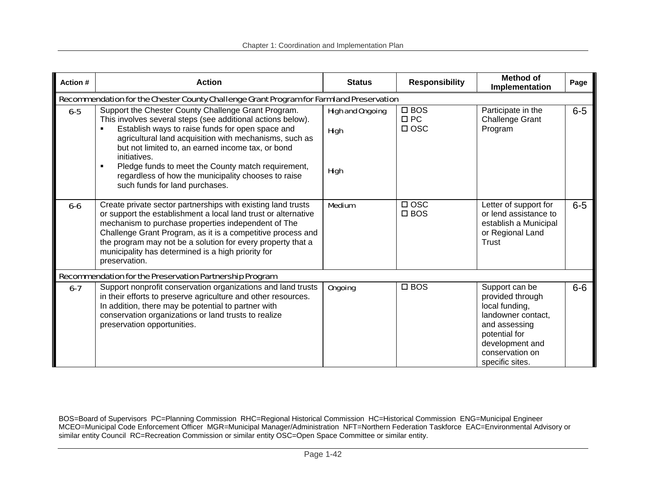| Action # | <b>Action</b>                                                                                                                                                                                                                                                                                                                                                                                                                                                          | <b>Status</b>                                         | <b>Responsibility</b>                    | Method of<br><b>Implementation</b>                                                                                                                                    | Page  |
|----------|------------------------------------------------------------------------------------------------------------------------------------------------------------------------------------------------------------------------------------------------------------------------------------------------------------------------------------------------------------------------------------------------------------------------------------------------------------------------|-------------------------------------------------------|------------------------------------------|-----------------------------------------------------------------------------------------------------------------------------------------------------------------------|-------|
|          | Recommendation for the Chester County Challenge Grant Program for Farmland Preservation                                                                                                                                                                                                                                                                                                                                                                                |                                                       |                                          |                                                                                                                                                                       |       |
| $6-5$    | Support the Chester County Challenge Grant Program.<br>This involves several steps (see additional actions below).<br>Establish ways to raise funds for open space and<br>agricultural land acquisition with mechanisms, such as<br>but not limited to, an earned income tax, or bond<br>initiatives.<br>Pledge funds to meet the County match requirement,<br>$\blacksquare$<br>regardless of how the municipality chooses to raise<br>such funds for land purchases. | <b>High and Ongoing</b><br><b>High</b><br><b>High</b> | $\square$ BOS<br>$\Box$ PC<br>$\Box$ OSC | Participate in the<br><b>Challenge Grant</b><br>Program                                                                                                               | $6-5$ |
| $6 - 6$  | Create private sector partnerships with existing land trusts<br>or support the establishment a local land trust or alternative<br>mechanism to purchase properties independent of The<br>Challenge Grant Program, as it is a competitive process and<br>the program may not be a solution for every property that a<br>municipality has determined is a high priority for<br>preservation.                                                                             | <b>Medium</b>                                         | $\Box$ OSC<br>$\square$ BOS              | Letter of support for<br>or lend assistance to<br>establish a Municipal<br>or Regional Land<br><b>Trust</b>                                                           | $6-5$ |
|          | Recommendation for the Preservation Partnership Program                                                                                                                                                                                                                                                                                                                                                                                                                |                                                       |                                          |                                                                                                                                                                       |       |
| $6-7$    | Support nonprofit conservation organizations and land trusts<br>in their efforts to preserve agriculture and other resources.<br>In addition, there may be potential to partner with<br>conservation organizations or land trusts to realize<br>preservation opportunities.                                                                                                                                                                                            | <b>Ongoing</b>                                        | $\square$ BOS                            | Support can be<br>provided through<br>local funding,<br>landowner contact,<br>and assessing<br>potential for<br>development and<br>conservation on<br>specific sites. | $6-6$ |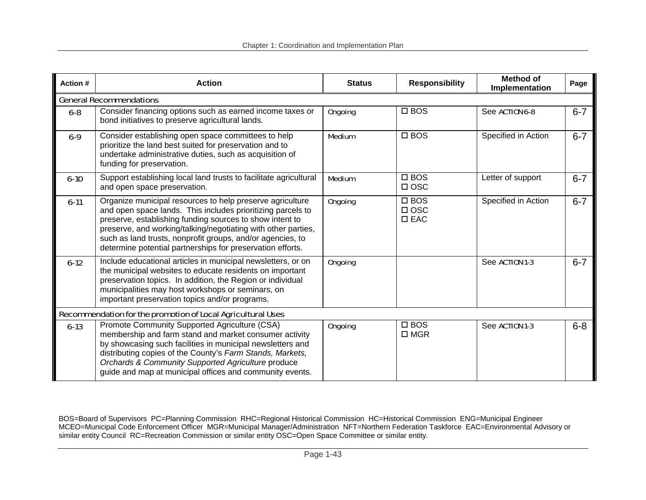| <b>Action#</b> | <b>Action</b>                                                                                                                                                                                                                                                                                                                                                                     | <b>Status</b>  | <b>Responsibility</b>                        | Method of<br>Implementation | Page    |
|----------------|-----------------------------------------------------------------------------------------------------------------------------------------------------------------------------------------------------------------------------------------------------------------------------------------------------------------------------------------------------------------------------------|----------------|----------------------------------------------|-----------------------------|---------|
|                | <b>General Recommendations</b>                                                                                                                                                                                                                                                                                                                                                    |                |                                              |                             |         |
| $6 - 8$        | Consider financing options such as earned income taxes or<br>bond initiatives to preserve agricultural lands.                                                                                                                                                                                                                                                                     | <b>Ongoing</b> | $\square$ BOS                                | See ACTION 6-8              | $6 - 7$ |
| $6 - 9$        | Consider establishing open space committees to help<br>prioritize the land best suited for preservation and to<br>undertake administrative duties, such as acquisition of<br>funding for preservation.                                                                                                                                                                            | <b>Medium</b>  | $\square$ BOS                                | Specified in Action         | $6 - 7$ |
| $6 - 10$       | Support establishing local land trusts to facilitate agricultural<br>and open space preservation.                                                                                                                                                                                                                                                                                 | <b>Medium</b>  | $\square$ BOS<br>$\Box$ OSC                  | Letter of support           | $6 - 7$ |
| $6 - 11$       | Organize municipal resources to help preserve agriculture<br>and open space lands. This includes prioritizing parcels to<br>preserve, establishing funding sources to show intent to<br>preserve, and working/talking/negotiating with other parties,<br>such as land trusts, nonprofit groups, and/or agencies, to<br>determine potential partnerships for preservation efforts. | <b>Ongoing</b> | $\square$ BOS<br>$\Box$ OSC<br>$\square$ EAC | Specified in Action         | $6 - 7$ |
| $6 - 12$       | Include educational articles in municipal newsletters, or on<br>the municipal websites to educate residents on important<br>preservation topics. In addition, the Region or individual<br>municipalities may host workshops or seminars, on<br>important preservation topics and/or programs.                                                                                     | <b>Ongoing</b> |                                              | See ACTION 1-3              | $6 - 7$ |
|                | Recommendation for the promotion of Local Agricultural Uses                                                                                                                                                                                                                                                                                                                       |                |                                              |                             |         |
| $6 - 13$       | Promote Community Supported Agriculture (CSA)<br>membership and farm stand and market consumer activity<br>by showcasing such facilities in municipal newsletters and<br>distributing copies of the County's Farm Stands, Markets,<br>Orchards & Community Supported Agriculture produce<br>guide and map at municipal offices and community events.                              | <b>Ongoing</b> | $\square$ BOS<br>$\square$ MGR               | See ACTION 1-3              | $6 - 8$ |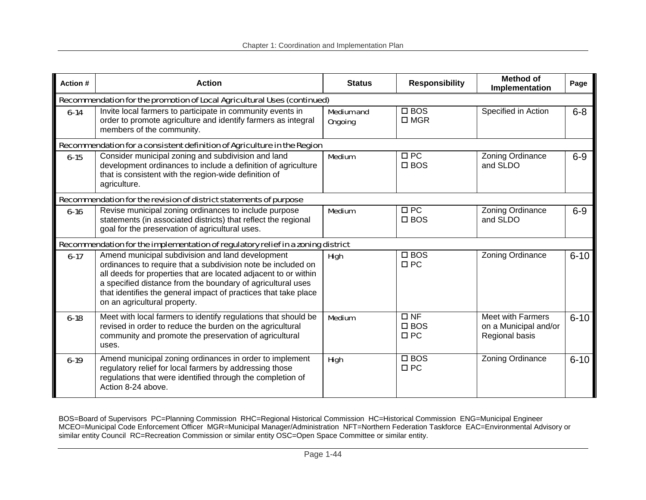| Action # | <b>Action</b>                                                                                                                                                                                                                                                                                                                                         | <b>Status</b>                       | <b>Responsibility</b>                   | <b>Method of</b><br>Implementation                                  | Page     |  |  |  |
|----------|-------------------------------------------------------------------------------------------------------------------------------------------------------------------------------------------------------------------------------------------------------------------------------------------------------------------------------------------------------|-------------------------------------|-----------------------------------------|---------------------------------------------------------------------|----------|--|--|--|
|          | Recommendation for the promotion of Local Agricultural Uses (continued)                                                                                                                                                                                                                                                                               |                                     |                                         |                                                                     |          |  |  |  |
| $6 - 14$ | Invite local farmers to participate in community events in<br>order to promote agriculture and identify farmers as integral<br>members of the community.                                                                                                                                                                                              | <b>Medium and</b><br><b>Ongoing</b> | $\square$ BOS<br>$\square$ MGR          | Specified in Action                                                 | $6 - 8$  |  |  |  |
|          | Recommendation for a consistent definition of Agriculture in the Region                                                                                                                                                                                                                                                                               |                                     |                                         |                                                                     |          |  |  |  |
| $6 - 15$ | Consider municipal zoning and subdivision and land<br>development ordinances to include a definition of agriculture<br>that is consistent with the region-wide definition of<br>agriculture.                                                                                                                                                          | <b>Medium</b>                       | $\Box$ PC<br>$\square$ BOS              | Zoning Ordinance<br>and SLDO                                        | $6-9$    |  |  |  |
|          | Recommendation for the revision of district statements of purpose                                                                                                                                                                                                                                                                                     |                                     |                                         |                                                                     |          |  |  |  |
| $6 - 16$ | Revise municipal zoning ordinances to include purpose<br>statements (in associated districts) that reflect the regional<br>goal for the preservation of agricultural uses.                                                                                                                                                                            | <b>Medium</b>                       | $\Box$ PC<br>$\square$ BOS              | Zoning Ordinance<br>and SLDO                                        | $6-9$    |  |  |  |
|          | Recommendation for the implementation of regulatory relief in a zoning district                                                                                                                                                                                                                                                                       |                                     |                                         |                                                                     |          |  |  |  |
| $6 - 17$ | Amend municipal subdivision and land development<br>ordinances to require that a subdivision note be included on<br>all deeds for properties that are located adjacent to or within<br>a specified distance from the boundary of agricultural uses<br>that identifies the general impact of practices that take place<br>on an agricultural property. | <b>High</b>                         | $\square$ BOS<br>$\Box$ PC              | Zoning Ordinance                                                    | $6 - 10$ |  |  |  |
| $6 - 18$ | Meet with local farmers to identify regulations that should be<br>revised in order to reduce the burden on the agricultural<br>community and promote the preservation of agricultural<br>uses.                                                                                                                                                        | <b>Medium</b>                       | $\Box$ NF<br>$\square$ BOS<br>$\Box$ PC | <b>Meet with Farmers</b><br>on a Municipal and/or<br>Regional basis | $6 - 10$ |  |  |  |
| $6-19$   | Amend municipal zoning ordinances in order to implement<br>regulatory relief for local farmers by addressing those<br>regulations that were identified through the completion of<br>Action 8-24 above.                                                                                                                                                | <b>High</b>                         | $\square$ BOS<br>$\Box$ PC              | Zoning Ordinance                                                    | $6 - 10$ |  |  |  |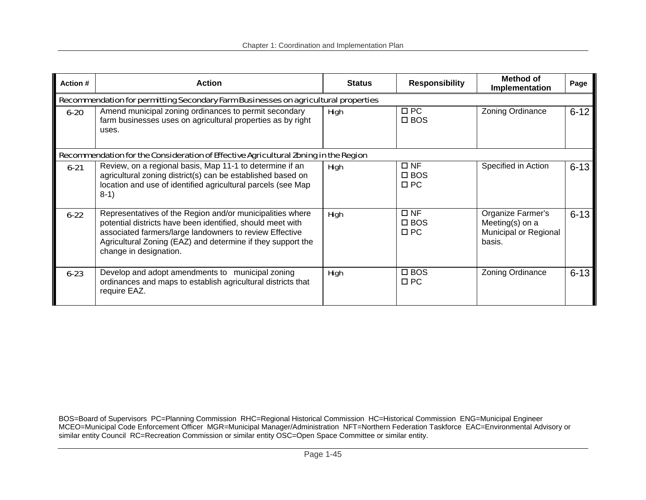| Action # | <b>Action</b>                                                                                                                                                                                                                                                               | <b>Status</b> | <b>Responsibility</b>                      | Method of<br><b>Implementation</b>                                      | Page     |
|----------|-----------------------------------------------------------------------------------------------------------------------------------------------------------------------------------------------------------------------------------------------------------------------------|---------------|--------------------------------------------|-------------------------------------------------------------------------|----------|
|          | Recommendation for permitting Secondary Farm Businesses on agricultural properties                                                                                                                                                                                          |               |                                            |                                                                         |          |
| $6 - 20$ | Amend municipal zoning ordinances to permit secondary<br>farm businesses uses on agricultural properties as by right<br>uses.                                                                                                                                               | <b>High</b>   | $\Box$ PC<br>$\square$ BOS                 | Zoning Ordinance                                                        | $6 - 12$ |
|          | Recommendation for the Consideration of Effective Agricultural Zoning in the Region                                                                                                                                                                                         |               |                                            |                                                                         |          |
| $6 - 21$ | Review, on a regional basis, Map 11-1 to determine if an<br>agricultural zoning district(s) can be established based on<br>location and use of identified agricultural parcels (see Map<br>$8-1)$                                                                           | <b>High</b>   | $\square$ NF<br>$\square$ BOS<br>$\Box$ PC | Specified in Action                                                     | $6 - 13$ |
| $6 - 22$ | Representatives of the Region and/or municipalities where<br>potential districts have been identified, should meet with<br>associated farmers/large landowners to review Effective<br>Agricultural Zoning (EAZ) and determine if they support the<br>change in designation. | <b>High</b>   | $\square$ NF<br>$\square$ BOS<br>$\Box$ PC | Organize Farmer's<br>Meeting(s) on a<br>Municipal or Regional<br>basis. | $6 - 13$ |
| $6 - 23$ | Develop and adopt amendments to municipal zoning<br>ordinances and maps to establish agricultural districts that<br>require EAZ.                                                                                                                                            | <b>High</b>   | $\square$ BOS<br>$\square$ PC              | <b>Zoning Ordinance</b>                                                 | $6 - 13$ |